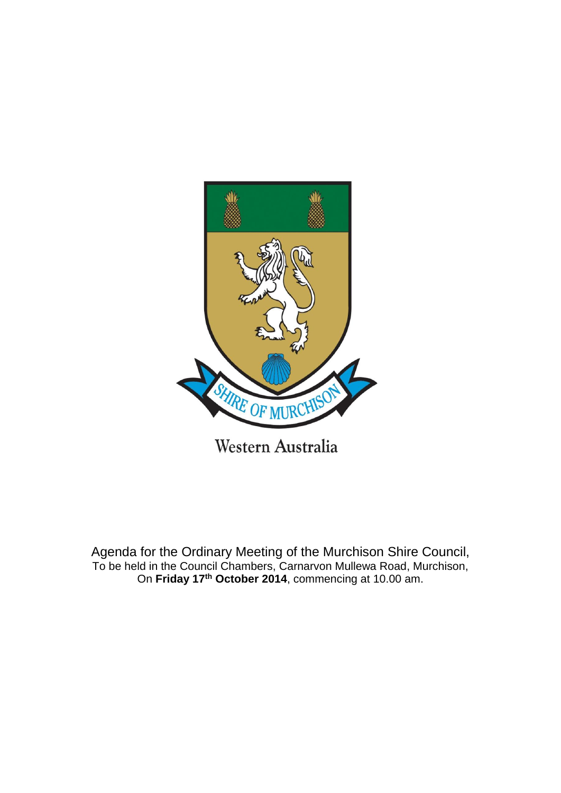

Agenda for the Ordinary Meeting of the Murchison Shire Council, To be held in the Council Chambers, Carnarvon Mullewa Road, Murchison, On **Friday 17th October 2014**, commencing at 10.00 am.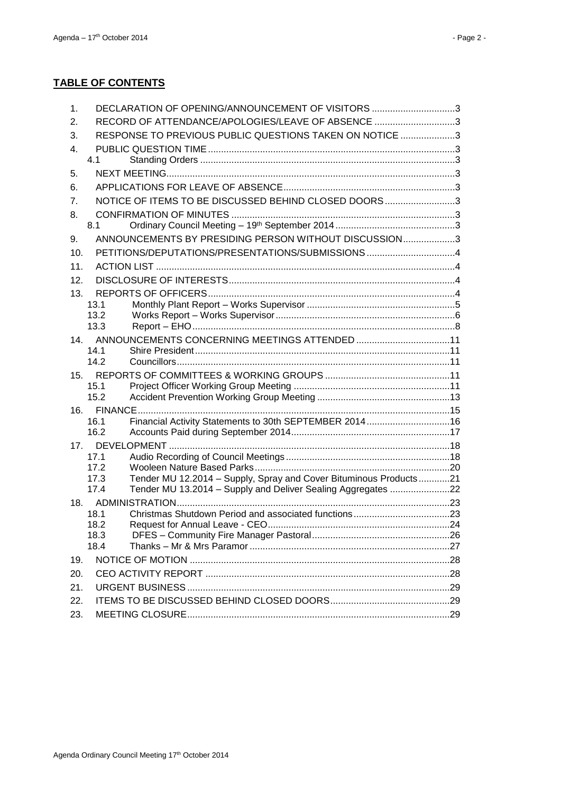| 1.  | DECLARATION OF OPENING/ANNOUNCEMENT OF VISITORS 3                                                                                                 |  |
|-----|---------------------------------------------------------------------------------------------------------------------------------------------------|--|
| 2.  | RECORD OF ATTENDANCE/APOLOGIES/LEAVE OF ABSENCE 3                                                                                                 |  |
| 3.  | RESPONSE TO PREVIOUS PUBLIC QUESTIONS TAKEN ON NOTICE 3                                                                                           |  |
| 4.  |                                                                                                                                                   |  |
|     | 4.1                                                                                                                                               |  |
| 5.  |                                                                                                                                                   |  |
| 6.  |                                                                                                                                                   |  |
| 7.  | NOTICE OF ITEMS TO BE DISCUSSED BEHIND CLOSED DOORS3                                                                                              |  |
| 8.  |                                                                                                                                                   |  |
|     | 8.1                                                                                                                                               |  |
| 9.  | ANNOUNCEMENTS BY PRESIDING PERSON WITHOUT DISCUSSION3                                                                                             |  |
| 10. | PETITIONS/DEPUTATIONS/PRESENTATIONS/SUBMISSIONS 4                                                                                                 |  |
| 11. |                                                                                                                                                   |  |
| 12. |                                                                                                                                                   |  |
| 13. |                                                                                                                                                   |  |
|     | 13.1                                                                                                                                              |  |
|     | 13.2                                                                                                                                              |  |
|     | 13.3                                                                                                                                              |  |
| 14. |                                                                                                                                                   |  |
|     | 14.1<br>14.2                                                                                                                                      |  |
|     |                                                                                                                                                   |  |
| 15. | 15.1                                                                                                                                              |  |
|     | 15.2                                                                                                                                              |  |
|     |                                                                                                                                                   |  |
|     | Financial Activity Statements to 30th SEPTEMBER 201416<br>16.1                                                                                    |  |
|     | 16.2                                                                                                                                              |  |
|     |                                                                                                                                                   |  |
|     | 17.1                                                                                                                                              |  |
|     | 17.2                                                                                                                                              |  |
|     | Tender MU 12.2014 - Supply, Spray and Cover Bituminous Products21<br>17.3<br>Tender MU 13.2014 - Supply and Deliver Sealing Aggregates 22<br>17.4 |  |
| 18. |                                                                                                                                                   |  |
|     | 18.1                                                                                                                                              |  |
|     | 18.2                                                                                                                                              |  |
|     | 18.3                                                                                                                                              |  |
|     | 18.4                                                                                                                                              |  |
| 19. |                                                                                                                                                   |  |
| 20. |                                                                                                                                                   |  |
| 21. |                                                                                                                                                   |  |
| 22. |                                                                                                                                                   |  |
| 23. |                                                                                                                                                   |  |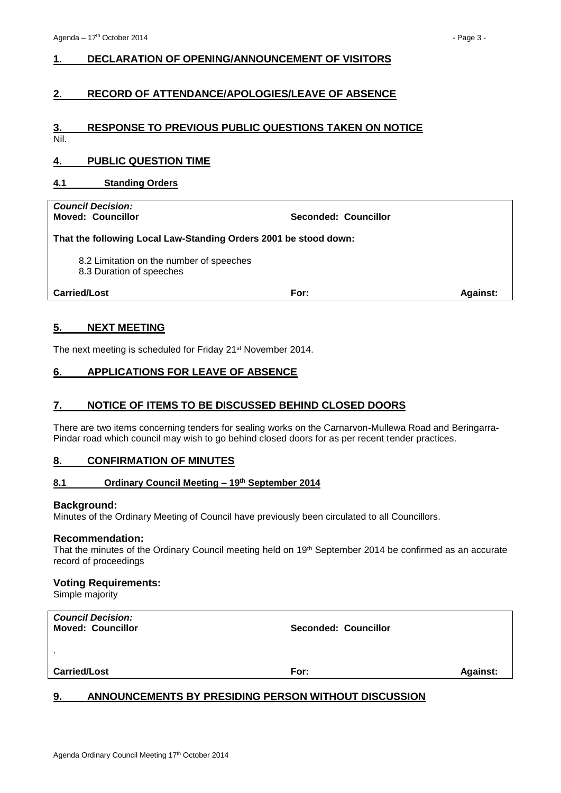# <span id="page-2-0"></span>**1. DECLARATION OF OPENING/ANNOUNCEMENT OF VISITORS**

# <span id="page-2-1"></span>**2. RECORD OF ATTENDANCE/APOLOGIES/LEAVE OF ABSENCE**

# <span id="page-2-2"></span>**3. RESPONSE TO PREVIOUS PUBLIC QUESTIONS TAKEN ON NOTICE**

Nil.

# <span id="page-2-3"></span>**4. PUBLIC QUESTION TIME**

#### <span id="page-2-4"></span>**4.1 Standing Orders**

*Council Decision:*

**Moved: Councillor Seconded: Councillor**

**That the following Local Law-Standing Orders 2001 be stood down:**

8.2 Limitation on the number of speeches

8.3 Duration of speeches

**Carried/Lost For: Against:**

# <span id="page-2-5"></span>**5. NEXT MEETING**

The next meeting is scheduled for Friday 21st November 2014.

# <span id="page-2-6"></span>**6. APPLICATIONS FOR LEAVE OF ABSENCE**

# <span id="page-2-7"></span>**7. NOTICE OF ITEMS TO BE DISCUSSED BEHIND CLOSED DOORS**

There are two items concerning tenders for sealing works on the Carnarvon-Mullewa Road and Beringarra-Pindar road which council may wish to go behind closed doors for as per recent tender practices.

#### <span id="page-2-8"></span>**8. CONFIRMATION OF MINUTES**

#### <span id="page-2-9"></span>**8.1 Ordinary Council Meeting – 19th September 2014**

#### **Background:**

Minutes of the Ordinary Meeting of Council have previously been circulated to all Councillors.

#### **Recommendation:**

That the minutes of the Ordinary Council meeting held on 19<sup>th</sup> September 2014 be confirmed as an accurate record of proceedings

#### **Voting Requirements:**

Simple majority

| <b>Council Decision:</b><br><b>Moved: Councillor</b> | <b>Seconded: Councillor</b> |                 |
|------------------------------------------------------|-----------------------------|-----------------|
| $\sim$                                               |                             |                 |
| <b>Carried/Lost</b>                                  | For:                        | <b>Against:</b> |

# <span id="page-2-10"></span>**9. ANNOUNCEMENTS BY PRESIDING PERSON WITHOUT DISCUSSION**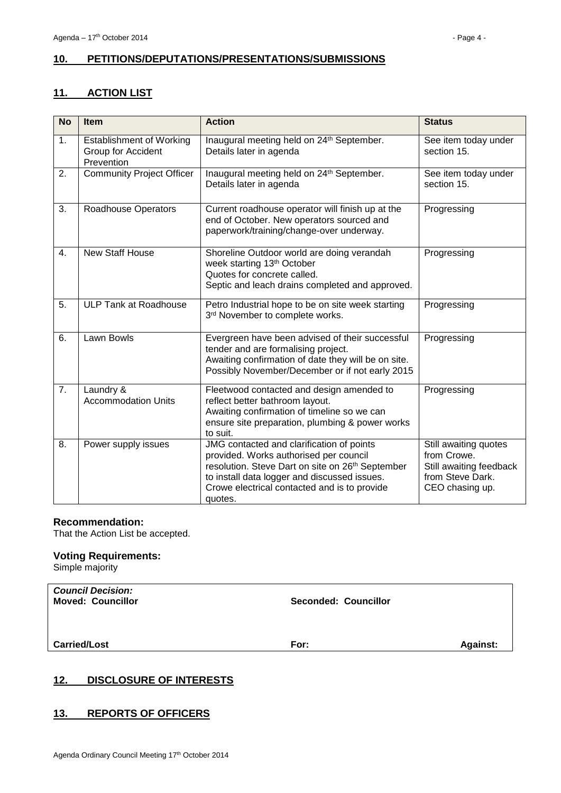# <span id="page-3-0"></span>**10. PETITIONS/DEPUTATIONS/PRESENTATIONS/SUBMISSIONS**

# <span id="page-3-1"></span>**11. ACTION LIST**

| <b>No</b> | <b>Item</b>                                                         | <b>Action</b>                                                                                                                                                                                                                                      | <b>Status</b>                                                                                          |
|-----------|---------------------------------------------------------------------|----------------------------------------------------------------------------------------------------------------------------------------------------------------------------------------------------------------------------------------------------|--------------------------------------------------------------------------------------------------------|
| 1.        | <b>Establishment of Working</b><br>Group for Accident<br>Prevention | Inaugural meeting held on 24th September.<br>Details later in agenda                                                                                                                                                                               | See item today under<br>section 15.                                                                    |
| 2.        | <b>Community Project Officer</b>                                    | Inaugural meeting held on 24 <sup>th</sup> September.<br>Details later in agenda                                                                                                                                                                   | See item today under<br>section 15.                                                                    |
| 3.        | <b>Roadhouse Operators</b>                                          | Current roadhouse operator will finish up at the<br>end of October. New operators sourced and<br>paperwork/training/change-over underway.                                                                                                          | Progressing                                                                                            |
| 4.        | <b>New Staff House</b>                                              | Shoreline Outdoor world are doing verandah<br>week starting 13th October<br>Quotes for concrete called.<br>Septic and leach drains completed and approved.                                                                                         | Progressing                                                                                            |
| 5.        | <b>ULP Tank at Roadhouse</b>                                        | Petro Industrial hope to be on site week starting<br>3rd November to complete works.                                                                                                                                                               | Progressing                                                                                            |
| 6.        | Lawn Bowls                                                          | Evergreen have been advised of their successful<br>tender and are formalising project.<br>Awaiting confirmation of date they will be on site.<br>Possibly November/December or if not early 2015                                                   | Progressing                                                                                            |
| 7.        | Laundry &<br><b>Accommodation Units</b>                             | Fleetwood contacted and design amended to<br>reflect better bathroom layout.<br>Awaiting confirmation of timeline so we can<br>ensure site preparation, plumbing & power works<br>to suit.                                                         | Progressing                                                                                            |
| 8.        | Power supply issues                                                 | JMG contacted and clarification of points<br>provided. Works authorised per council<br>resolution. Steve Dart on site on 26th September<br>to install data logger and discussed issues.<br>Crowe electrical contacted and is to provide<br>quotes. | Still awaiting quotes<br>from Crowe.<br>Still awaiting feedback<br>from Steve Dark.<br>CEO chasing up. |

# **Recommendation:**

That the Action List be accepted.

# **Voting Requirements:**

Simple majority

| <b>Council Decision:</b><br><b>Moved: Councillor</b> | <b>Seconded: Councillor</b> |                 |
|------------------------------------------------------|-----------------------------|-----------------|
| <b>Carried/Lost</b>                                  | For:                        | <b>Against:</b> |

# <span id="page-3-2"></span>**12. DISCLOSURE OF INTERESTS**

# <span id="page-3-3"></span>**13. REPORTS OF OFFICERS**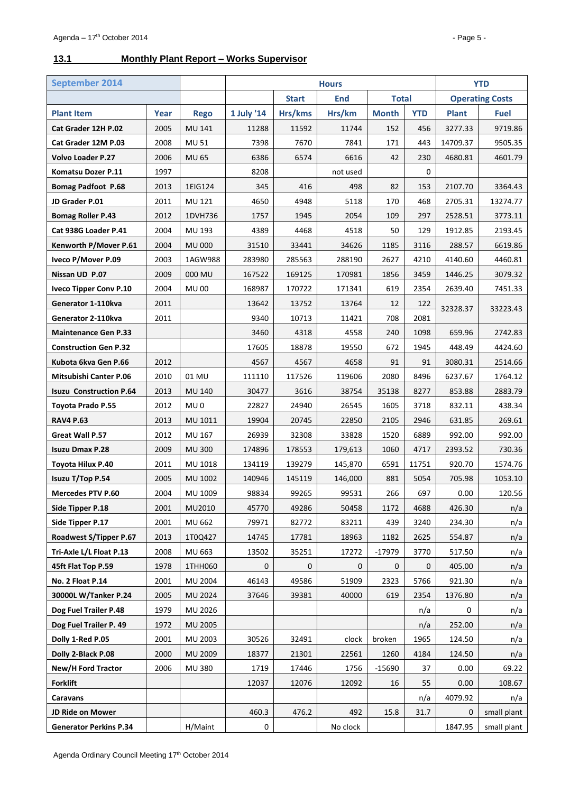# <span id="page-4-0"></span>**13.1 Monthly Plant Report – Works Supervisor**

| <b>September 2014</b>          |      |                | <b>Hours</b> |              | <b>YTD</b> |              |             |              |                        |
|--------------------------------|------|----------------|--------------|--------------|------------|--------------|-------------|--------------|------------------------|
|                                |      |                |              | <b>Start</b> | <b>End</b> | <b>Total</b> |             |              | <b>Operating Costs</b> |
| <b>Plant Item</b>              | Year | <b>Rego</b>    | 1 July '14   | Hrs/kms      | Hrs/km     | <b>Month</b> | <b>YTD</b>  | <b>Plant</b> | <b>Fuel</b>            |
| Cat Grader 12H P.02            | 2005 | <b>MU 141</b>  | 11288        | 11592        | 11744      | 152          | 456         | 3277.33      | 9719.86                |
| Cat Grader 12M P.03            | 2008 | <b>MU 51</b>   | 7398         | 7670         | 7841       | 171          | 443         | 14709.37     | 9505.35                |
| <b>Volvo Loader P.27</b>       | 2006 | MU 65          | 6386         | 6574         | 6616       | 42           | 230         | 4680.81      | 4601.79                |
| Komatsu Dozer P.11             | 1997 |                | 8208         |              | not used   |              | $\mathbf 0$ |              |                        |
| <b>Bomag Padfoot P.68</b>      | 2013 | 1EIG124        | 345          | 416          | 498        | 82           | 153         | 2107.70      | 3364.43                |
| JD Grader P.01                 | 2011 | MU 121         | 4650         | 4948         | 5118       | 170          | 468         | 2705.31      | 13274.77               |
| <b>Bomag Roller P.43</b>       | 2012 | 1DVH736        | 1757         | 1945         | 2054       | 109          | 297         | 2528.51      | 3773.11                |
| Cat 938G Loader P.41           | 2004 | <b>MU 193</b>  | 4389         | 4468         | 4518       | 50           | 129         | 1912.85      | 2193.45                |
| Kenworth P/Mover P.61          | 2004 | <b>MU 000</b>  | 31510        | 33441        | 34626      | 1185         | 3116        | 288.57       | 6619.86                |
| Iveco P/Mover P.09             | 2003 | 1AGW988        | 283980       | 285563       | 288190     | 2627         | 4210        | 4140.60      | 4460.81                |
| Nissan UD P.07                 | 2009 | 000 MU         | 167522       | 169125       | 170981     | 1856         | 3459        | 1446.25      | 3079.32                |
| <b>Iveco Tipper Conv P.10</b>  | 2004 | <b>MU00</b>    | 168987       | 170722       | 171341     | 619          | 2354        | 2639.40      | 7451.33                |
| Generator 1-110kva             | 2011 |                | 13642        | 13752        | 13764      | 12           | 122         | 32328.37     | 33223.43               |
| Generator 2-110kva             | 2011 |                | 9340         | 10713        | 11421      | 708          | 2081        |              |                        |
| <b>Maintenance Gen P.33</b>    |      |                | 3460         | 4318         | 4558       | 240          | 1098        | 659.96       | 2742.83                |
| <b>Construction Gen P.32</b>   |      |                | 17605        | 18878        | 19550      | 672          | 1945        | 448.49       | 4424.60                |
| Kubota 6kva Gen P.66           | 2012 |                | 4567         | 4567         | 4658       | 91           | 91          | 3080.31      | 2514.66                |
| <b>Mitsubishi Canter P.06</b>  | 2010 | 01 MU          | 111110       | 117526       | 119606     | 2080         | 8496        | 6237.67      | 1764.12                |
| <b>Isuzu Construction P.64</b> | 2013 | <b>MU 140</b>  | 30477        | 3616         | 38754      | 35138        | 8277        | 853.88       | 2883.79                |
| Toyota Prado P.55              | 2012 | MU 0           | 22827        | 24940        | 26545      | 1605         | 3718        | 832.11       | 438.34                 |
| <b>RAV4 P.63</b>               | 2013 | MU 1011        | 19904        | 20745        | 22850      | 2105         | 2946        | 631.85       | 269.61                 |
| Great Wall P.57                | 2012 | MU 167         | 26939        | 32308        | 33828      | 1520         | 6889        | 992.00       | 992.00                 |
| <b>Isuzu Dmax P.28</b>         | 2009 | <b>MU 300</b>  | 174896       | 178553       | 179,613    | 1060         | 4717        | 2393.52      | 730.36                 |
| <b>Toyota Hilux P.40</b>       | 2011 | MU 1018        | 134119       | 139279       | 145,870    | 6591         | 11751       | 920.70       | 1574.76                |
| Isuzu T/Top P.54               | 2005 | MU 1002        | 140946       | 145119       | 146,000    | 881          | 5054        | 705.98       | 1053.10                |
| Mercedes PTV P.60              | 2004 | MU 1009        | 98834        | 99265        | 99531      | 266          | 697         | 0.00         | 120.56                 |
| Side Tipper P.18               | 2001 | MU2010         | 45770        | 49286        | 50458      | 1172         | 4688        | 426.30       | n/a                    |
| Side Tipper P.17               | 2001 | MU 662         | 79971        | 82772        | 83211      | 439          | 3240        | 234.30       | n/a                    |
| Roadwest S/Tipper P.67         | 2013 | 1T0Q427        | 14745        | 17781        | 18963      | 1182         | 2625        | 554.87       | n/a                    |
| Tri-Axle L/L Float P.13        | 2008 | MU 663         | 13502        | 35251        | 17272      | $-17979$     | 3770        | 517.50       | n/a                    |
| 45ft Flat Top P.59             | 1978 | 1THH060        | 0            | 0            | 0          | 0            | 0           | 405.00       | n/a                    |
| No. 2 Float P.14               | 2001 | <b>MU 2004</b> | 46143        | 49586        | 51909      | 2323         | 5766        | 921.30       | n/a                    |
| 30000L W/Tanker P.24           | 2005 | MU 2024        | 37646        | 39381        | 40000      | 619          | 2354        | 1376.80      | n/a                    |
| Dog Fuel Trailer P.48          | 1979 | MU 2026        |              |              |            |              | n/a         | 0            | n/a                    |
| Dog Fuel Trailer P. 49         | 1972 | <b>MU 2005</b> |              |              |            |              | n/a         | 252.00       | n/a                    |
| Dolly 1-Red P.05               | 2001 | MU 2003        | 30526        | 32491        | clock      | broken       | 1965        | 124.50       | n/a                    |
| Dolly 2-Black P.08             | 2000 | <b>MU 2009</b> | 18377        | 21301        | 22561      | 1260         | 4184        | 124.50       | n/a                    |
| New/H Ford Tractor             | 2006 | <b>MU 380</b>  | 1719         | 17446        | 1756       | $-15690$     | 37          | 0.00         | 69.22                  |
| <b>Forklift</b>                |      |                | 12037        | 12076        | 12092      | 16           | 55          | 0.00         | 108.67                 |
| Caravans                       |      |                |              |              |            |              | n/a         | 4079.92      | n/a                    |
| JD Ride on Mower               |      |                | 460.3        | 476.2        | 492        | 15.8         | 31.7        | 0            | small plant            |
| <b>Generator Perkins P.34</b>  |      | H/Maint        | 0            |              | No clock   |              |             | 1847.95      | small plant            |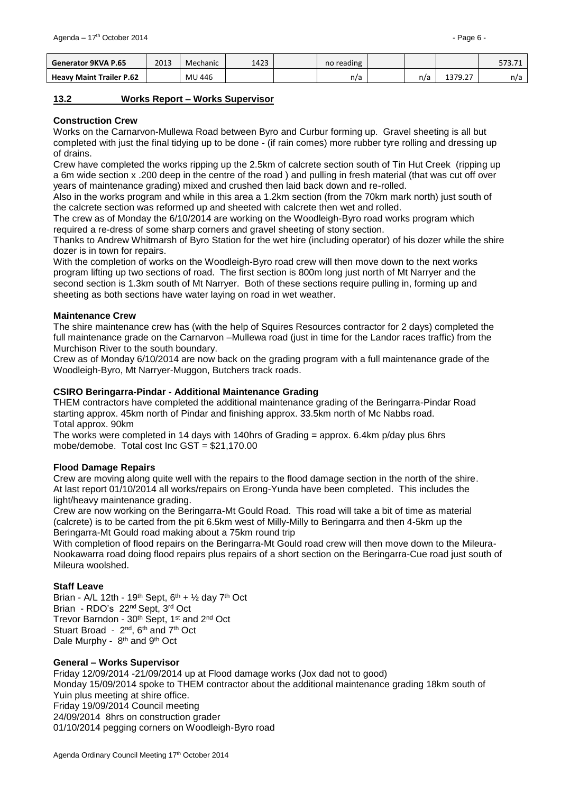| Generator 9KVA P.65             | 2013 | Mechanic | 1423 | no reading |     |                  | <b>F72</b><br><i><b>JIJ.IL</b></i> |
|---------------------------------|------|----------|------|------------|-----|------------------|------------------------------------|
| <b>Heavy Maint Trailer P.62</b> |      | MU 446   |      | n/a        | n/a | דר 120<br>1315.Z | n/a                                |

#### <span id="page-5-0"></span>**13.2 Works Report – Works Supervisor**

#### **Construction Crew**

Works on the Carnarvon-Mullewa Road between Byro and Curbur forming up. Gravel sheeting is all but completed with just the final tidying up to be done - (if rain comes) more rubber tyre rolling and dressing up of drains.

Crew have completed the works ripping up the 2.5km of calcrete section south of Tin Hut Creek (ripping up a 6m wide section x .200 deep in the centre of the road ) and pulling in fresh material (that was cut off over years of maintenance grading) mixed and crushed then laid back down and re-rolled.

Also in the works program and while in this area a 1.2km section (from the 70km mark north) just south of the calcrete section was reformed up and sheeted with calcrete then wet and rolled.

The crew as of Monday the 6/10/2014 are working on the Woodleigh-Byro road works program which required a re-dress of some sharp corners and gravel sheeting of stony section.

Thanks to Andrew Whitmarsh of Byro Station for the wet hire (including operator) of his dozer while the shire dozer is in town for repairs.

With the completion of works on the Woodleigh-Byro road crew will then move down to the next works program lifting up two sections of road. The first section is 800m long just north of Mt Narryer and the second section is 1.3km south of Mt Narryer. Both of these sections require pulling in, forming up and sheeting as both sections have water laying on road in wet weather.

#### **Maintenance Crew**

The shire maintenance crew has (with the help of Squires Resources contractor for 2 days) completed the full maintenance grade on the Carnarvon –Mullewa road (just in time for the Landor races traffic) from the Murchison River to the south boundary.

Crew as of Monday 6/10/2014 are now back on the grading program with a full maintenance grade of the Woodleigh-Byro, Mt Narryer-Muggon, Butchers track roads.

#### **CSIRO Beringarra-Pindar - Additional Maintenance Grading**

THEM contractors have completed the additional maintenance grading of the Beringarra-Pindar Road starting approx. 45km north of Pindar and finishing approx. 33.5km north of Mc Nabbs road. Total approx. 90km

The works were completed in 14 days with 140hrs of Grading = approx. 6.4km p/day plus 6hrs mobe/demobe. Total cost Inc GST = \$21,170.00

#### **Flood Damage Repairs**

Crew are moving along quite well with the repairs to the flood damage section in the north of the shire. At last report 01/10/2014 all works/repairs on Erong-Yunda have been completed. This includes the light/heavy maintenance grading.

Crew are now working on the Beringarra-Mt Gould Road. This road will take a bit of time as material (calcrete) is to be carted from the pit 6.5km west of Milly-Milly to Beringarra and then 4-5km up the Beringarra-Mt Gould road making about a 75km round trip

With completion of flood repairs on the Beringarra-Mt Gould road crew will then move down to the Mileura-Nookawarra road doing flood repairs plus repairs of a short section on the Beringarra-Cue road just south of Mileura woolshed.

#### **Staff Leave**

Brian - A/L 12th - 19<sup>th</sup> Sept,  $6<sup>th</sup> + 1/2$  day 7<sup>th</sup> Oct Brian - RDO's 22nd Sept, 3rd Oct Trevor Barndon - 30<sup>th</sup> Sept, 1<sup>st</sup> and 2<sup>nd</sup> Oct Stuart Broad - 2<sup>nd</sup>, 6<sup>th</sup> and 7<sup>th</sup> Oct Dale Murphy - 8<sup>th</sup> and 9<sup>th</sup> Oct

#### **General – Works Supervisor**

Friday 12/09/2014 -21/09/2014 up at Flood damage works (Jox dad not to good) Monday 15/09/2014 spoke to THEM contractor about the additional maintenance grading 18km south of Yuin plus meeting at shire office. Friday 19/09/2014 Council meeting 24/09/2014 8hrs on construction grader 01/10/2014 pegging corners on Woodleigh-Byro road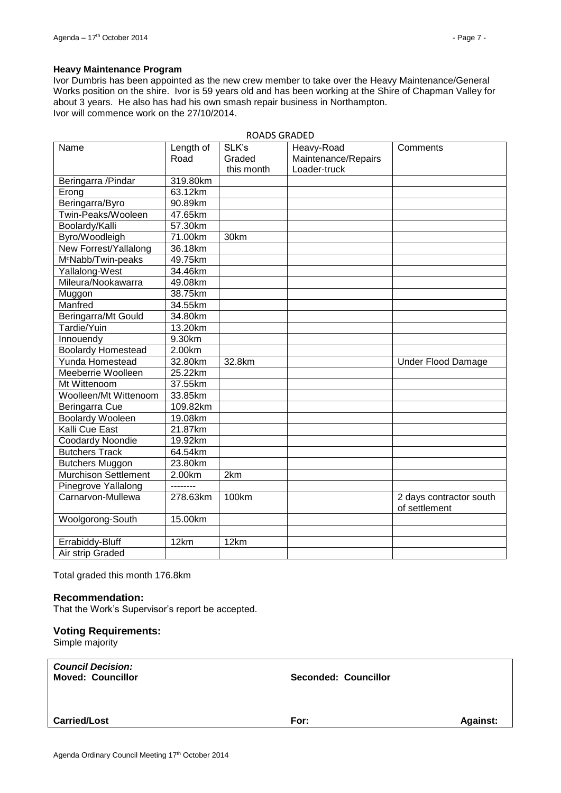#### **Heavy Maintenance Program**

Ivor Dumbris has been appointed as the new crew member to take over the Heavy Maintenance/General Works position on the shire. Ivor is 59 years old and has been working at the Shire of Chapman Valley for about 3 years. He also has had his own smash repair business in Northampton. Ivor will commence work on the 27/10/2014.

|                                |                   | <b>ROADS GRADED</b>           |                                                   |                                          |
|--------------------------------|-------------------|-------------------------------|---------------------------------------------------|------------------------------------------|
| Name                           | Length of<br>Road | SLK's<br>Graded<br>this month | Heavy-Road<br>Maintenance/Repairs<br>Loader-truck | Comments                                 |
| Beringarra /Pindar             | 319.80km          |                               |                                                   |                                          |
| Erong                          | 63.12km           |                               |                                                   |                                          |
| Beringarra/Byro                | 90.89km           |                               |                                                   |                                          |
| Twin-Peaks/Wooleen             | 47.65km           |                               |                                                   |                                          |
| Boolardy/Kalli                 | 57.30km           |                               |                                                   |                                          |
| Byro/Woodleigh                 | 71.00km           | 30km                          |                                                   |                                          |
| New Forrest/Yallalong          | 36.18km           |                               |                                                   |                                          |
| M <sup>c</sup> Nabb/Twin-peaks | 49.75km           |                               |                                                   |                                          |
| Yallalong-West                 | 34.46km           |                               |                                                   |                                          |
| Mileura/Nookawarra             | 49.08km           |                               |                                                   |                                          |
| Muggon                         | 38.75km           |                               |                                                   |                                          |
| Manfred                        | 34.55km           |                               |                                                   |                                          |
| Beringarra/Mt Gould            | 34.80km           |                               |                                                   |                                          |
| Tardie/Yuin                    | 13.20km           |                               |                                                   |                                          |
| Innouendy                      | 9.30km            |                               |                                                   |                                          |
| <b>Boolardy Homestead</b>      | 2.00km            |                               |                                                   |                                          |
| <b>Yunda Homestead</b>         | 32.80km           | 32.8km                        |                                                   | <b>Under Flood Damage</b>                |
| Meeberrie Woolleen             | 25.22km           |                               |                                                   |                                          |
| Mt Wittenoom                   | 37.55km           |                               |                                                   |                                          |
| Woolleen/Mt Wittenoom          | 33.85km           |                               |                                                   |                                          |
| Beringarra Cue                 | 109.82km          |                               |                                                   |                                          |
| Boolardy Wooleen               | 19.08km           |                               |                                                   |                                          |
| Kalli Cue East                 | 21.87km           |                               |                                                   |                                          |
| <b>Coodardy Noondie</b>        | 19.92km           |                               |                                                   |                                          |
| <b>Butchers Track</b>          | 64.54km           |                               |                                                   |                                          |
| <b>Butchers Muggon</b>         | 23.80km           |                               |                                                   |                                          |
| <b>Murchison Settlement</b>    | 2.00km            | 2km                           |                                                   |                                          |
| Pinegrove Yallalong            | --------          |                               |                                                   |                                          |
| Carnarvon-Mullewa              | 278.63km          | 100km                         |                                                   | 2 days contractor south<br>of settlement |
| Woolgorong-South               | 15.00km           |                               |                                                   |                                          |
|                                |                   |                               |                                                   |                                          |
| Errabiddy-Bluff                | 12km              | 12km                          |                                                   |                                          |
| Air strip Graded               |                   |                               |                                                   |                                          |

Total graded this month 176.8km

#### **Recommendation:**

That the Work's Supervisor's report be accepted.

#### **Voting Requirements:**

Simple majority

| <b>Council Decision:</b><br><b>Moved: Councillor</b> | Seconded: Councillor |                 |
|------------------------------------------------------|----------------------|-----------------|
| <b>Carried/Lost</b>                                  | For:                 | <b>Against:</b> |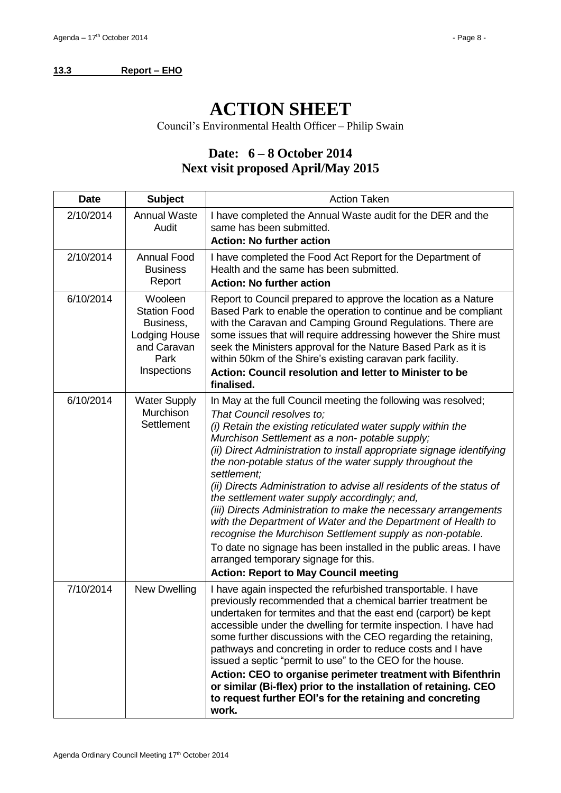# <span id="page-7-0"></span>**13.3 Report – EHO**

# **ACTION SHEET**

Council's Environmental Health Officer – Philip Swain

# **Date: 6 – 8 October 2014 Next visit proposed April/May 2015**

| <b>Date</b> | <b>Subject</b>                                                                                            | <b>Action Taken</b>                                                                                                                                                                                                                                                                                                                                                                                                                                                                                                                                                                                                                                                                                                                                                                                                                                    |  |  |
|-------------|-----------------------------------------------------------------------------------------------------------|--------------------------------------------------------------------------------------------------------------------------------------------------------------------------------------------------------------------------------------------------------------------------------------------------------------------------------------------------------------------------------------------------------------------------------------------------------------------------------------------------------------------------------------------------------------------------------------------------------------------------------------------------------------------------------------------------------------------------------------------------------------------------------------------------------------------------------------------------------|--|--|
| 2/10/2014   | <b>Annual Waste</b><br>Audit                                                                              | I have completed the Annual Waste audit for the DER and the<br>same has been submitted.<br><b>Action: No further action</b>                                                                                                                                                                                                                                                                                                                                                                                                                                                                                                                                                                                                                                                                                                                            |  |  |
| 2/10/2014   | <b>Annual Food</b><br><b>Business</b><br>Report                                                           | I have completed the Food Act Report for the Department of<br>Health and the same has been submitted.<br><b>Action: No further action</b>                                                                                                                                                                                                                                                                                                                                                                                                                                                                                                                                                                                                                                                                                                              |  |  |
| 6/10/2014   | Wooleen<br><b>Station Food</b><br>Business,<br><b>Lodging House</b><br>and Caravan<br>Park<br>Inspections | Report to Council prepared to approve the location as a Nature<br>Based Park to enable the operation to continue and be compliant<br>with the Caravan and Camping Ground Regulations. There are<br>some issues that will require addressing however the Shire must<br>seek the Ministers approval for the Nature Based Park as it is<br>within 50km of the Shire's existing caravan park facility.<br>Action: Council resolution and letter to Minister to be<br>finalised.                                                                                                                                                                                                                                                                                                                                                                            |  |  |
| 6/10/2014   | <b>Water Supply</b><br>Murchison<br>Settlement                                                            | In May at the full Council meeting the following was resolved;<br>That Council resolves to;<br>(i) Retain the existing reticulated water supply within the<br>Murchison Settlement as a non-potable supply;<br>(ii) Direct Administration to install appropriate signage identifying<br>the non-potable status of the water supply throughout the<br>settlement;<br>(ii) Directs Administration to advise all residents of the status of<br>the settlement water supply accordingly; and,<br>(iii) Directs Administration to make the necessary arrangements<br>with the Department of Water and the Department of Health to<br>recognise the Murchison Settlement supply as non-potable.<br>To date no signage has been installed in the public areas. I have<br>arranged temporary signage for this.<br><b>Action: Report to May Council meeting</b> |  |  |
| 7/10/2014   | New Dwelling                                                                                              | I have again inspected the refurbished transportable. I have<br>previously recommended that a chemical barrier treatment be<br>undertaken for termites and that the east end (carport) be kept<br>accessible under the dwelling for termite inspection. I have had<br>some further discussions with the CEO regarding the retaining,<br>pathways and concreting in order to reduce costs and I have<br>issued a septic "permit to use" to the CEO for the house.<br>Action: CEO to organise perimeter treatment with Bifenthrin<br>or similar (Bi-flex) prior to the installation of retaining. CEO<br>to request further EOI's for the retaining and concreting<br>work.                                                                                                                                                                              |  |  |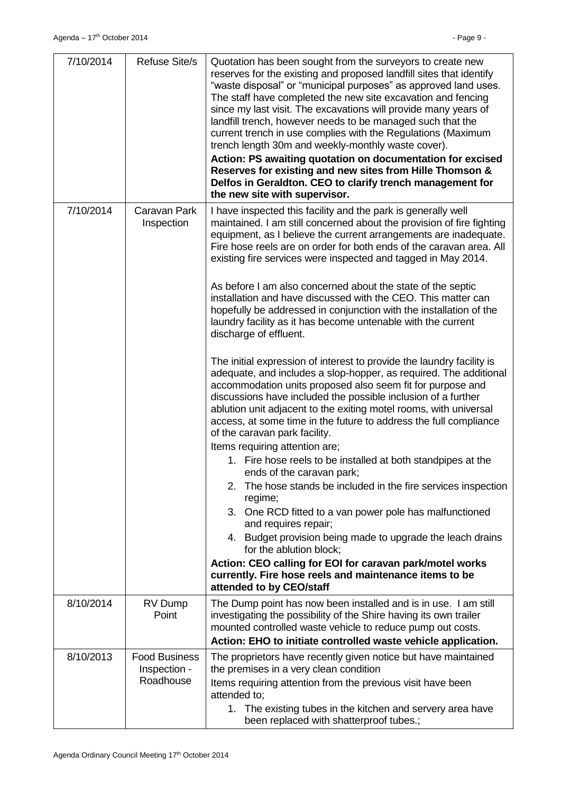| 7/10/2014 | <b>Refuse Site/s</b>                              | Quotation has been sought from the surveyors to create new<br>reserves for the existing and proposed landfill sites that identify<br>"waste disposal" or "municipal purposes" as approved land uses.<br>The staff have completed the new site excavation and fencing<br>since my last visit. The excavations will provide many years of<br>landfill trench, however needs to be managed such that the<br>current trench in use complies with the Regulations (Maximum<br>trench length 30m and weekly-monthly waste cover).<br>Action: PS awaiting quotation on documentation for excised<br>Reserves for existing and new sites from Hille Thomson &<br>Delfos in Geraldton. CEO to clarify trench management for<br>the new site with supervisor.                                                                                                                                                                                                                                                                                                                                                                                                                                                                                                                                                                                                                                                                                                                                                                                                                                                                   |
|-----------|---------------------------------------------------|-----------------------------------------------------------------------------------------------------------------------------------------------------------------------------------------------------------------------------------------------------------------------------------------------------------------------------------------------------------------------------------------------------------------------------------------------------------------------------------------------------------------------------------------------------------------------------------------------------------------------------------------------------------------------------------------------------------------------------------------------------------------------------------------------------------------------------------------------------------------------------------------------------------------------------------------------------------------------------------------------------------------------------------------------------------------------------------------------------------------------------------------------------------------------------------------------------------------------------------------------------------------------------------------------------------------------------------------------------------------------------------------------------------------------------------------------------------------------------------------------------------------------------------------------------------------------------------------------------------------------|
| 7/10/2014 | Caravan Park<br>Inspection                        | I have inspected this facility and the park is generally well<br>maintained. I am still concerned about the provision of fire fighting<br>equipment, as I believe the current arrangements are inadequate.<br>Fire hose reels are on order for both ends of the caravan area. All<br>existing fire services were inspected and tagged in May 2014.<br>As before I am also concerned about the state of the septic<br>installation and have discussed with the CEO. This matter can<br>hopefully be addressed in conjunction with the installation of the<br>laundry facility as it has become untenable with the current<br>discharge of effluent.<br>The initial expression of interest to provide the laundry facility is<br>adequate, and includes a slop-hopper, as required. The additional<br>accommodation units proposed also seem fit for purpose and<br>discussions have included the possible inclusion of a further<br>ablution unit adjacent to the exiting motel rooms, with universal<br>access, at some time in the future to address the full compliance<br>of the caravan park facility.<br>Items requiring attention are;<br>1. Fire hose reels to be installed at both standpipes at the<br>ends of the caravan park;<br>The hose stands be included in the fire services inspection<br>regime;<br>3. One RCD fitted to a van power pole has malfunctioned<br>and requires repair;<br>4. Budget provision being made to upgrade the leach drains<br>for the ablution block;<br>Action: CEO calling for EOI for caravan park/motel works<br>currently. Fire hose reels and maintenance items to be |
| 8/10/2014 | RV Dump<br>Point                                  | attended to by CEO/staff<br>The Dump point has now been installed and is in use. I am still<br>investigating the possibility of the Shire having its own trailer                                                                                                                                                                                                                                                                                                                                                                                                                                                                                                                                                                                                                                                                                                                                                                                                                                                                                                                                                                                                                                                                                                                                                                                                                                                                                                                                                                                                                                                      |
|           |                                                   | mounted controlled waste vehicle to reduce pump out costs.<br>Action: EHO to initiate controlled waste vehicle application.                                                                                                                                                                                                                                                                                                                                                                                                                                                                                                                                                                                                                                                                                                                                                                                                                                                                                                                                                                                                                                                                                                                                                                                                                                                                                                                                                                                                                                                                                           |
| 8/10/2013 | <b>Food Business</b><br>Inspection -<br>Roadhouse | The proprietors have recently given notice but have maintained<br>the premises in a very clean condition<br>Items requiring attention from the previous visit have been<br>attended to:<br>1. The existing tubes in the kitchen and servery area have<br>been replaced with shatterproof tubes.;                                                                                                                                                                                                                                                                                                                                                                                                                                                                                                                                                                                                                                                                                                                                                                                                                                                                                                                                                                                                                                                                                                                                                                                                                                                                                                                      |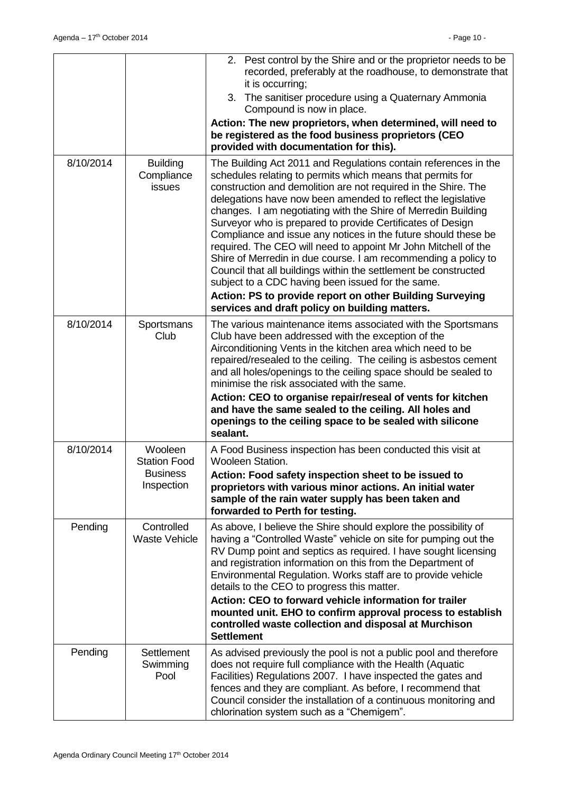|           |                                                                 | 2. Pest control by the Shire and or the proprietor needs to be<br>recorded, preferably at the roadhouse, to demonstrate that<br>it is occurring;<br>3. The sanitiser procedure using a Quaternary Ammonia<br>Compound is now in place.<br>Action: The new proprietors, when determined, will need to<br>be registered as the food business proprietors (CEO<br>provided with documentation for this).                                                                                                                                                                                                                                                                                                                                                                                                                                      |
|-----------|-----------------------------------------------------------------|--------------------------------------------------------------------------------------------------------------------------------------------------------------------------------------------------------------------------------------------------------------------------------------------------------------------------------------------------------------------------------------------------------------------------------------------------------------------------------------------------------------------------------------------------------------------------------------------------------------------------------------------------------------------------------------------------------------------------------------------------------------------------------------------------------------------------------------------|
| 8/10/2014 | <b>Building</b><br>Compliance<br>issues                         | The Building Act 2011 and Regulations contain references in the<br>schedules relating to permits which means that permits for<br>construction and demolition are not required in the Shire. The<br>delegations have now been amended to reflect the legislative<br>changes. I am negotiating with the Shire of Merredin Building<br>Surveyor who is prepared to provide Certificates of Design<br>Compliance and issue any notices in the future should these be<br>required. The CEO will need to appoint Mr John Mitchell of the<br>Shire of Merredin in due course. I am recommending a policy to<br>Council that all buildings within the settlement be constructed<br>subject to a CDC having been issued for the same.<br>Action: PS to provide report on other Building Surveying<br>services and draft policy on building matters. |
| 8/10/2014 | Sportsmans<br>Club                                              | The various maintenance items associated with the Sportsmans<br>Club have been addressed with the exception of the<br>Airconditioning Vents in the kitchen area which need to be<br>repaired/resealed to the ceiling. The ceiling is asbestos cement<br>and all holes/openings to the ceiling space should be sealed to<br>minimise the risk associated with the same.<br>Action: CEO to organise repair/reseal of vents for kitchen<br>and have the same sealed to the ceiling. All holes and<br>openings to the ceiling space to be sealed with silicone<br>sealant.                                                                                                                                                                                                                                                                     |
| 8/10/2014 | Wooleen<br><b>Station Food</b><br><b>Business</b><br>Inspection | A Food Business inspection has been conducted this visit at<br>Wooleen Station.<br>Action: Food safety inspection sheet to be issued to<br>proprietors with various minor actions. An initial water<br>sample of the rain water supply has been taken and<br>forwarded to Perth for testing.                                                                                                                                                                                                                                                                                                                                                                                                                                                                                                                                               |
| Pending   | Controlled<br><b>Waste Vehicle</b>                              | As above, I believe the Shire should explore the possibility of<br>having a "Controlled Waste" vehicle on site for pumping out the<br>RV Dump point and septics as required. I have sought licensing<br>and registration information on this from the Department of<br>Environmental Regulation. Works staff are to provide vehicle<br>details to the CEO to progress this matter.<br>Action: CEO to forward vehicle information for trailer<br>mounted unit. EHO to confirm approval process to establish<br>controlled waste collection and disposal at Murchison<br><b>Settlement</b>                                                                                                                                                                                                                                                   |
| Pending   | <b>Settlement</b><br>Swimming<br>Pool                           | As advised previously the pool is not a public pool and therefore<br>does not require full compliance with the Health (Aquatic<br>Facilities) Regulations 2007. I have inspected the gates and<br>fences and they are compliant. As before, I recommend that<br>Council consider the installation of a continuous monitoring and<br>chlorination system such as a "Chemigem".                                                                                                                                                                                                                                                                                                                                                                                                                                                              |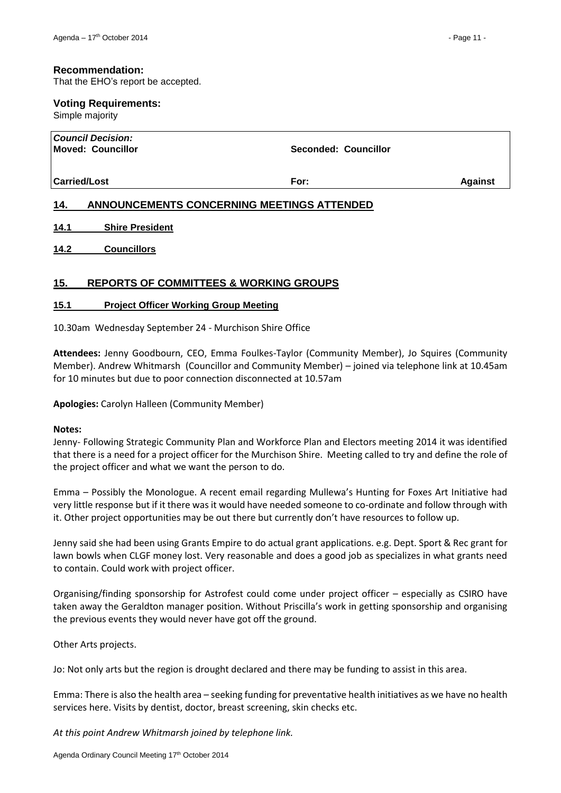#### **Recommendation:**

That the EHO's report be accepted.

# **Voting Requirements:**

Simple majority

| Council Decision:  <br>Moved: Councillor | Seconded: Councillor                       |                |
|------------------------------------------|--------------------------------------------|----------------|
| <b>Carried/Lost</b>                      | For:                                       | <b>Against</b> |
| 14.                                      | ANNOUNCEMENTS CONCERNING MEETINGS ATTENDED |                |

- <span id="page-10-1"></span><span id="page-10-0"></span>**14.1 Shire President**
- <span id="page-10-2"></span>**14.2 Councillors**

# <span id="page-10-3"></span>**15. REPORTS OF COMMITTEES & WORKING GROUPS**

#### <span id="page-10-4"></span>**15.1 Project Officer Working Group Meeting**

10.30am Wednesday September 24 - Murchison Shire Office

**Attendees:** Jenny Goodbourn, CEO, Emma Foulkes-Taylor (Community Member), Jo Squires (Community Member). Andrew Whitmarsh (Councillor and Community Member) – joined via telephone link at 10.45am for 10 minutes but due to poor connection disconnected at 10.57am

**Apologies:** Carolyn Halleen (Community Member)

#### **Notes:**

Jenny- Following Strategic Community Plan and Workforce Plan and Electors meeting 2014 it was identified that there is a need for a project officer for the Murchison Shire. Meeting called to try and define the role of the project officer and what we want the person to do.

Emma – Possibly the Monologue. A recent email regarding Mullewa's Hunting for Foxes Art Initiative had very little response but if it there was it would have needed someone to co-ordinate and follow through with it. Other project opportunities may be out there but currently don't have resources to follow up.

Jenny said she had been using Grants Empire to do actual grant applications. e.g. Dept. Sport & Rec grant for lawn bowls when CLGF money lost. Very reasonable and does a good job as specializes in what grants need to contain. Could work with project officer.

Organising/finding sponsorship for Astrofest could come under project officer – especially as CSIRO have taken away the Geraldton manager position. Without Priscilla's work in getting sponsorship and organising the previous events they would never have got off the ground.

Other Arts projects.

Jo: Not only arts but the region is drought declared and there may be funding to assist in this area.

Emma: There is also the health area – seeking funding for preventative health initiatives as we have no health services here. Visits by dentist, doctor, breast screening, skin checks etc.

*At this point Andrew Whitmarsh joined by telephone link.*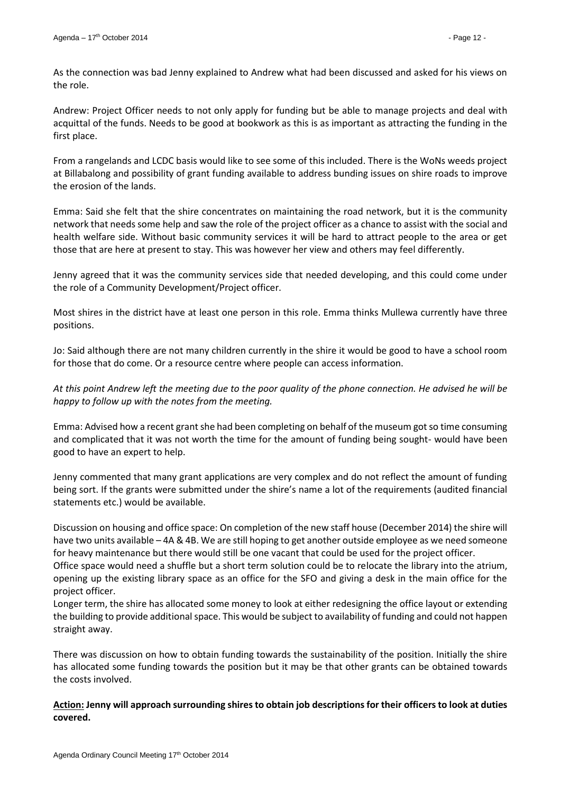As the connection was bad Jenny explained to Andrew what had been discussed and asked for his views on the role.

Andrew: Project Officer needs to not only apply for funding but be able to manage projects and deal with acquittal of the funds. Needs to be good at bookwork as this is as important as attracting the funding in the first place.

From a rangelands and LCDC basis would like to see some of this included. There is the WoNs weeds project at Billabalong and possibility of grant funding available to address bunding issues on shire roads to improve the erosion of the lands.

Emma: Said she felt that the shire concentrates on maintaining the road network, but it is the community network that needs some help and saw the role of the project officer as a chance to assist with the social and health welfare side. Without basic community services it will be hard to attract people to the area or get those that are here at present to stay. This was however her view and others may feel differently.

Jenny agreed that it was the community services side that needed developing, and this could come under the role of a Community Development/Project officer.

Most shires in the district have at least one person in this role. Emma thinks Mullewa currently have three positions.

Jo: Said although there are not many children currently in the shire it would be good to have a school room for those that do come. Or a resource centre where people can access information.

*At this point Andrew left the meeting due to the poor quality of the phone connection. He advised he will be happy to follow up with the notes from the meeting.*

Emma: Advised how a recent grant she had been completing on behalf of the museum got so time consuming and complicated that it was not worth the time for the amount of funding being sought- would have been good to have an expert to help.

Jenny commented that many grant applications are very complex and do not reflect the amount of funding being sort. If the grants were submitted under the shire's name a lot of the requirements (audited financial statements etc.) would be available.

Discussion on housing and office space: On completion of the new staff house (December 2014) the shire will have two units available – 4A & 4B. We are still hoping to get another outside employee as we need someone for heavy maintenance but there would still be one vacant that could be used for the project officer.

Office space would need a shuffle but a short term solution could be to relocate the library into the atrium, opening up the existing library space as an office for the SFO and giving a desk in the main office for the project officer.

Longer term, the shire has allocated some money to look at either redesigning the office layout or extending the building to provide additional space. This would be subject to availability of funding and could not happen straight away.

There was discussion on how to obtain funding towards the sustainability of the position. Initially the shire has allocated some funding towards the position but it may be that other grants can be obtained towards the costs involved.

# **Action: Jenny will approach surrounding shires to obtain job descriptions for their officers to look at duties covered.**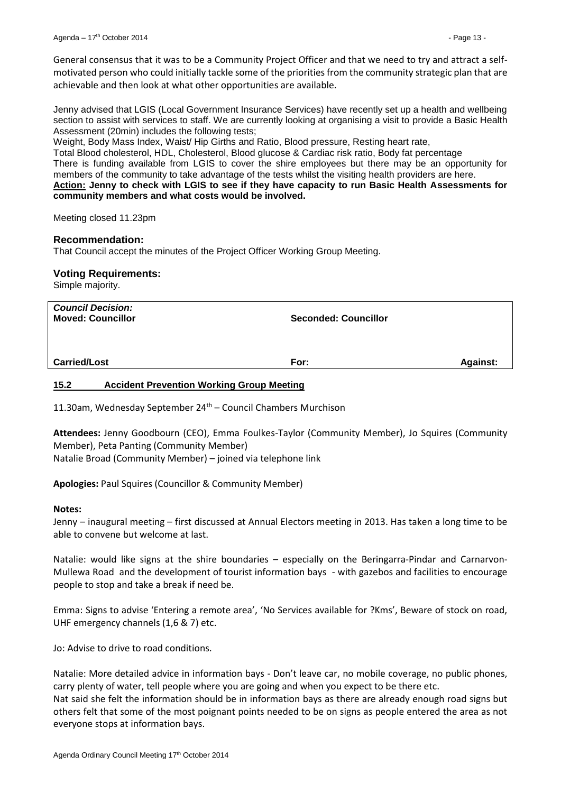General consensus that it was to be a Community Project Officer and that we need to try and attract a selfmotivated person who could initially tackle some of the priorities from the community strategic plan that are achievable and then look at what other opportunities are available.

Jenny advised that LGIS (Local Government Insurance Services) have recently set up a health and wellbeing section to assist with services to staff. We are currently looking at organising a visit to provide a Basic Health Assessment (20min) includes the following tests;

Weight, Body Mass Index, Waist/ Hip Girths and Ratio, Blood pressure, Resting heart rate,

Total Blood cholesterol, HDL, Cholesterol, Blood glucose & Cardiac risk ratio, Body fat percentage

There is funding available from LGIS to cover the shire employees but there may be an opportunity for members of the community to take advantage of the tests whilst the visiting health providers are here.

**Action: Jenny to check with LGIS to see if they have capacity to run Basic Health Assessments for community members and what costs would be involved.**

Meeting closed 11.23pm

#### **Recommendation:**

That Council accept the minutes of the Project Officer Working Group Meeting.

#### **Voting Requirements:**

Simple majority.

| <b>Council Decision:</b><br><b>Moved: Councillor</b> | <b>Seconded: Councillor</b> |                 |
|------------------------------------------------------|-----------------------------|-----------------|
| <b>Carried/Lost</b>                                  | For:                        | <b>Against:</b> |

#### <span id="page-12-0"></span>**15.2 Accident Prevention Working Group Meeting**

11.30am, Wednesday September  $24<sup>th</sup>$  – Council Chambers Murchison

**Attendees:** Jenny Goodbourn (CEO), Emma Foulkes-Taylor (Community Member), Jo Squires (Community Member), Peta Panting (Community Member) Natalie Broad (Community Member) – joined via telephone link

**Apologies:** Paul Squires (Councillor & Community Member)

#### **Notes:**

Jenny – inaugural meeting – first discussed at Annual Electors meeting in 2013. Has taken a long time to be able to convene but welcome at last.

Natalie: would like signs at the shire boundaries – especially on the Beringarra-Pindar and Carnarvon-Mullewa Road and the development of tourist information bays - with gazebos and facilities to encourage people to stop and take a break if need be.

Emma: Signs to advise 'Entering a remote area', 'No Services available for ?Kms', Beware of stock on road, UHF emergency channels (1,6 & 7) etc.

Jo: Advise to drive to road conditions.

Natalie: More detailed advice in information bays - Don't leave car, no mobile coverage, no public phones, carry plenty of water, tell people where you are going and when you expect to be there etc.

Nat said she felt the information should be in information bays as there are already enough road signs but others felt that some of the most poignant points needed to be on signs as people entered the area as not everyone stops at information bays.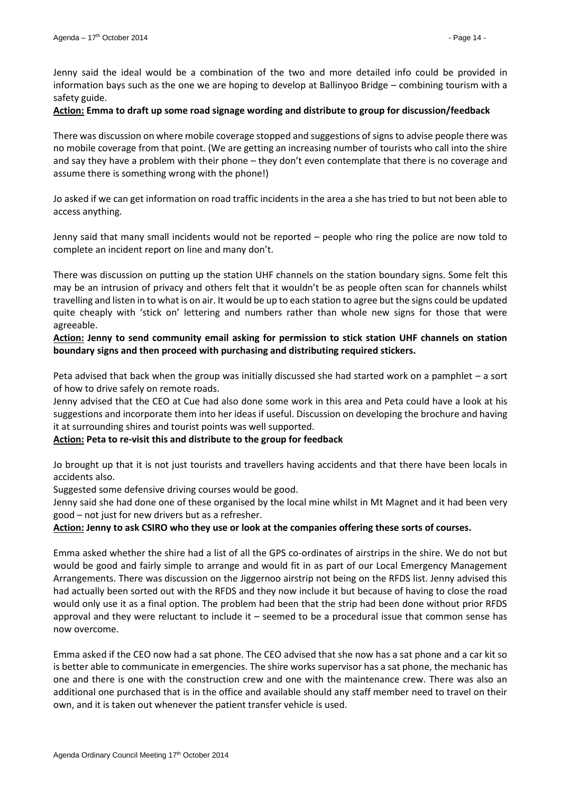Jenny said the ideal would be a combination of the two and more detailed info could be provided in information bays such as the one we are hoping to develop at Ballinyoo Bridge – combining tourism with a safety guide.

#### **Action: Emma to draft up some road signage wording and distribute to group for discussion/feedback**

There was discussion on where mobile coverage stopped and suggestions of signs to advise people there was no mobile coverage from that point. (We are getting an increasing number of tourists who call into the shire and say they have a problem with their phone – they don't even contemplate that there is no coverage and assume there is something wrong with the phone!)

Jo asked if we can get information on road traffic incidents in the area a she has tried to but not been able to access anything.

Jenny said that many small incidents would not be reported – people who ring the police are now told to complete an incident report on line and many don't.

There was discussion on putting up the station UHF channels on the station boundary signs. Some felt this may be an intrusion of privacy and others felt that it wouldn't be as people often scan for channels whilst travelling and listen in to what is on air. It would be up to each station to agree but the signs could be updated quite cheaply with 'stick on' lettering and numbers rather than whole new signs for those that were agreeable.

**Action: Jenny to send community email asking for permission to stick station UHF channels on station boundary signs and then proceed with purchasing and distributing required stickers.**

Peta advised that back when the group was initially discussed she had started work on a pamphlet – a sort of how to drive safely on remote roads.

Jenny advised that the CEO at Cue had also done some work in this area and Peta could have a look at his suggestions and incorporate them into her ideas if useful. Discussion on developing the brochure and having it at surrounding shires and tourist points was well supported.

#### **Action: Peta to re-visit this and distribute to the group for feedback**

Jo brought up that it is not just tourists and travellers having accidents and that there have been locals in accidents also.

Suggested some defensive driving courses would be good.

Jenny said she had done one of these organised by the local mine whilst in Mt Magnet and it had been very good – not just for new drivers but as a refresher.

**Action: Jenny to ask CSIRO who they use or look at the companies offering these sorts of courses.**

Emma asked whether the shire had a list of all the GPS co-ordinates of airstrips in the shire. We do not but would be good and fairly simple to arrange and would fit in as part of our Local Emergency Management Arrangements. There was discussion on the Jiggernoo airstrip not being on the RFDS list. Jenny advised this had actually been sorted out with the RFDS and they now include it but because of having to close the road would only use it as a final option. The problem had been that the strip had been done without prior RFDS approval and they were reluctant to include it – seemed to be a procedural issue that common sense has now overcome.

Emma asked if the CEO now had a sat phone. The CEO advised that she now has a sat phone and a car kit so is better able to communicate in emergencies. The shire works supervisor has a sat phone, the mechanic has one and there is one with the construction crew and one with the maintenance crew. There was also an additional one purchased that is in the office and available should any staff member need to travel on their own, and it is taken out whenever the patient transfer vehicle is used.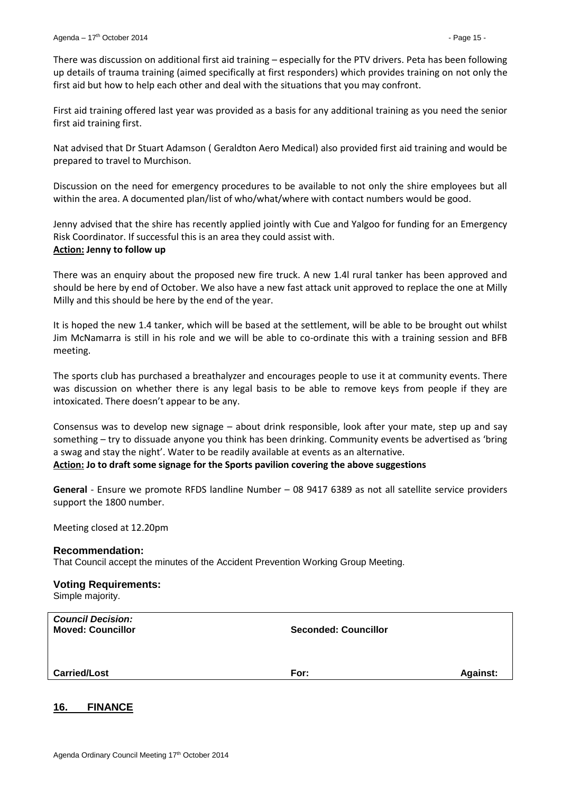There was discussion on additional first aid training – especially for the PTV drivers. Peta has been following up details of trauma training (aimed specifically at first responders) which provides training on not only the first aid but how to help each other and deal with the situations that you may confront.

First aid training offered last year was provided as a basis for any additional training as you need the senior first aid training first.

Nat advised that Dr Stuart Adamson ( Geraldton Aero Medical) also provided first aid training and would be prepared to travel to Murchison.

Discussion on the need for emergency procedures to be available to not only the shire employees but all within the area. A documented plan/list of who/what/where with contact numbers would be good.

Jenny advised that the shire has recently applied jointly with Cue and Yalgoo for funding for an Emergency Risk Coordinator. If successful this is an area they could assist with. **Action: Jenny to follow up**

There was an enquiry about the proposed new fire truck. A new 1.4l rural tanker has been approved and should be here by end of October. We also have a new fast attack unit approved to replace the one at Milly Milly and this should be here by the end of the year.

It is hoped the new 1.4 tanker, which will be based at the settlement, will be able to be brought out whilst Jim McNamarra is still in his role and we will be able to co-ordinate this with a training session and BFB meeting.

The sports club has purchased a breathalyzer and encourages people to use it at community events. There was discussion on whether there is any legal basis to be able to remove keys from people if they are intoxicated. There doesn't appear to be any.

Consensus was to develop new signage – about drink responsible, look after your mate, step up and say something – try to dissuade anyone you think has been drinking. Community events be advertised as 'bring a swag and stay the night'. Water to be readily available at events as an alternative. **Action: Jo to draft some signage for the Sports pavilion covering the above suggestions**

**General** - Ensure we promote RFDS landline Number – 08 9417 6389 as not all satellite service providers support the 1800 number.

Meeting closed at 12.20pm

#### **Recommendation:**

That Council accept the minutes of the Accident Prevention Working Group Meeting.

# **Voting Requirements:**

Simple majority.

| <b>Council Decision:</b><br><b>Moved: Councillor</b> | <b>Seconded: Councillor</b> |                 |
|------------------------------------------------------|-----------------------------|-----------------|
| <b>Carried/Lost</b>                                  | For:                        | <b>Against:</b> |

# <span id="page-14-0"></span>**16. FINANCE**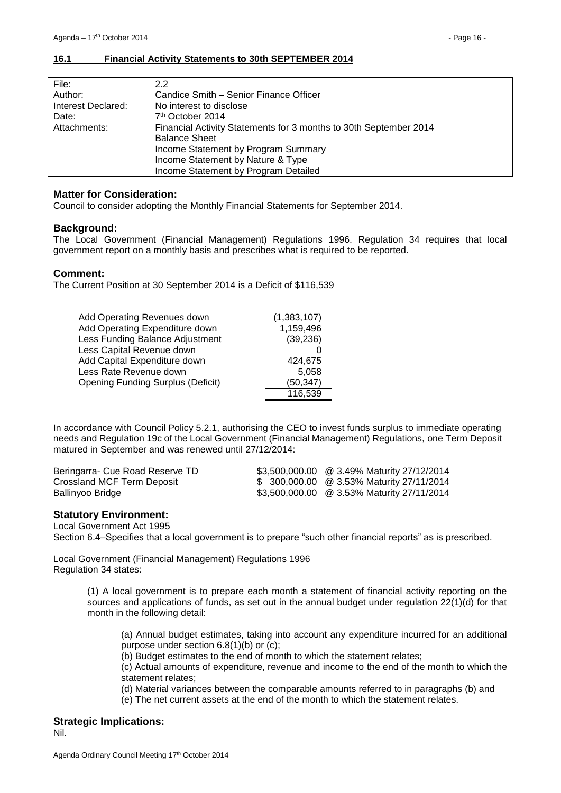<span id="page-15-0"></span>

| File:              | 2.2                                                               |
|--------------------|-------------------------------------------------------------------|
| Author:            | Candice Smith - Senior Finance Officer                            |
| Interest Declared: | No interest to disclose                                           |
| Date:              | 7 <sup>th</sup> October 2014                                      |
| Attachments:       | Financial Activity Statements for 3 months to 30th September 2014 |
|                    | <b>Balance Sheet</b>                                              |
|                    | Income Statement by Program Summary                               |
|                    | Income Statement by Nature & Type                                 |
|                    | Income Statement by Program Detailed                              |

### **Matter for Consideration:**

Council to consider adopting the Monthly Financial Statements for September 2014.

#### **Background:**

The Local Government (Financial Management) Regulations 1996. Regulation 34 requires that local government report on a monthly basis and prescribes what is required to be reported.

#### **Comment:**

The Current Position at 30 September 2014 is a Deficit of \$116,539

| Add Operating Revenues down              | (1,383,107) |
|------------------------------------------|-------------|
| Add Operating Expenditure down           | 1,159,496   |
| Less Funding Balance Adjustment          | (39, 236)   |
| Less Capital Revenue down                |             |
| Add Capital Expenditure down             | 424,675     |
| Less Rate Revenue down                   | 5,058       |
| <b>Opening Funding Surplus (Deficit)</b> | (50, 347)   |
|                                          | 116,539     |

In accordance with Council Policy 5.2.1, authorising the CEO to invest funds surplus to immediate operating needs and Regulation 19c of the Local Government (Financial Management) Regulations, one Term Deposit matured in September and was renewed until 27/12/2014:

| Beringarra- Cue Road Reserve TD | \$3,500,000.00 @ 3.49% Maturity 27/12/2014 |
|---------------------------------|--------------------------------------------|
| Crossland MCF Term Deposit      | \$ 300,000.00 @ 3.53% Maturity 27/11/2014  |
| Ballinyoo Bridge                | \$3,500,000.00 @ 3.53% Maturity 27/11/2014 |

#### **Statutory Environment:**

Local Government Act 1995

Section 6.4–Specifies that a local government is to prepare "such other financial reports" as is prescribed.

Local Government (Financial Management) Regulations 1996 Regulation 34 states:

> (1) A local government is to prepare each month a statement of financial activity reporting on the sources and applications of funds, as set out in the annual budget under regulation 22(1)(d) for that month in the following detail:

(a) Annual budget estimates, taking into account any expenditure incurred for an additional purpose under section 6.8(1)(b) or (c);

(b) Budget estimates to the end of month to which the statement relates;

(c) Actual amounts of expenditure, revenue and income to the end of the month to which the statement relates;

(d) Material variances between the comparable amounts referred to in paragraphs (b) and

(e) The net current assets at the end of the month to which the statement relates.

# **Strategic Implications:**

Nil.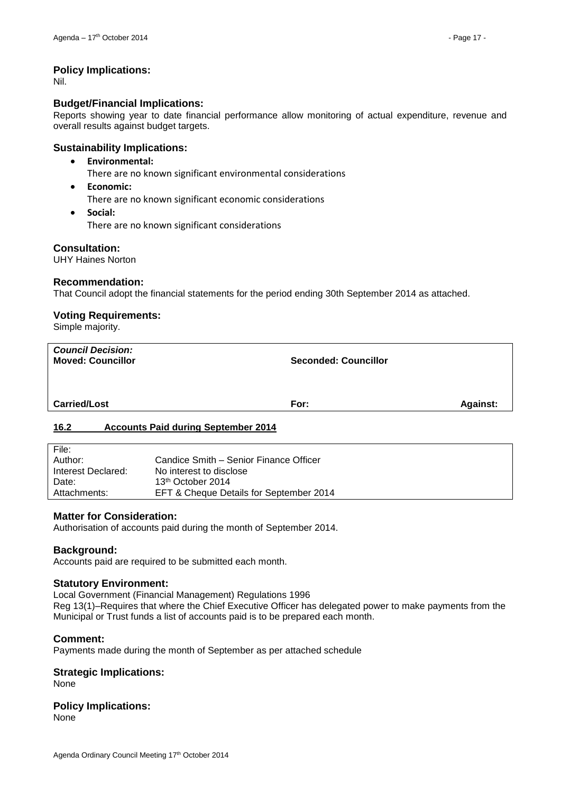# **Policy Implications:**

Nil.

#### **Budget/Financial Implications:**

Reports showing year to date financial performance allow monitoring of actual expenditure, revenue and overall results against budget targets.

# **Sustainability Implications:**

- **Environmental:**
	- There are no known significant environmental considerations
- **Economic:**

There are no known significant economic considerations

 **Social:** There are no known significant considerations

#### **Consultation:**

UHY Haines Norton

#### **Recommendation:**

That Council adopt the financial statements for the period ending 30th September 2014 as attached.

# **Voting Requirements:**

Simple majority.

| <b>Council Decision:</b><br><b>Moved: Councillor</b> | <b>Seconded: Councillor</b> |                 |
|------------------------------------------------------|-----------------------------|-----------------|
| <b>Carried/Lost</b>                                  | For:                        | <b>Against:</b> |
| 16.2<br><b>Accounts Paid during September 2014</b>   |                             |                 |

# <span id="page-16-0"></span>**16.2 Accounts Paid during September 2014**

| File:              |                                         |
|--------------------|-----------------------------------------|
| Author:            | Candice Smith – Senior Finance Officer  |
| Interest Declared: | No interest to disclose                 |
| Date:              | 13 <sup>th</sup> October 2014           |
| Attachments:       | EFT & Cheque Details for September 2014 |

#### **Matter for Consideration:**

Authorisation of accounts paid during the month of September 2014.

#### **Background:**

Accounts paid are required to be submitted each month.

#### **Statutory Environment:**

Local Government (Financial Management) Regulations 1996

Reg 13(1)–Requires that where the Chief Executive Officer has delegated power to make payments from the Municipal or Trust funds a list of accounts paid is to be prepared each month.

#### **Comment:**

Payments made during the month of September as per attached schedule

#### **Strategic Implications:**

None

# **Policy Implications:**

None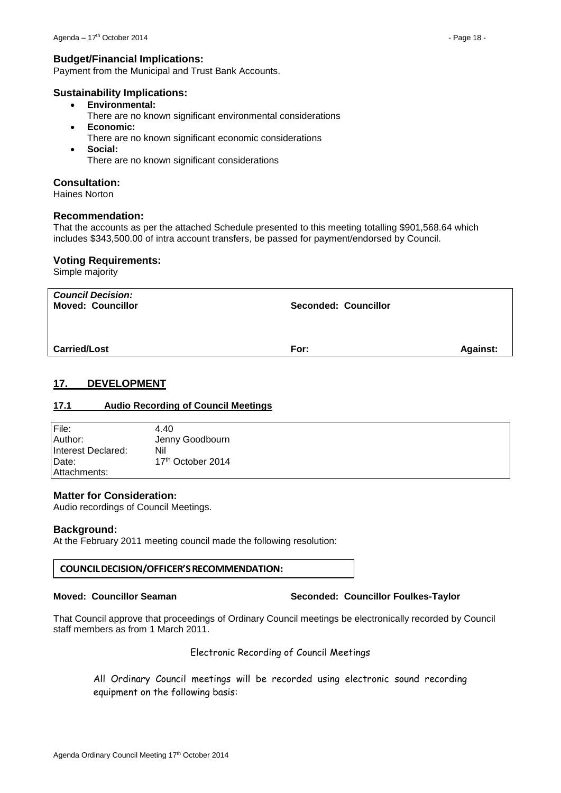#### **Budget/Financial Implications:**

Payment from the Municipal and Trust Bank Accounts.

#### **Sustainability Implications:**

- **Environmental:**
	- There are no known significant environmental considerations
- **Economic:**
	- There are no known significant economic considerations
- **Social:** There are no known significant considerations

#### **Consultation:**

Haines Norton

#### **Recommendation:**

That the accounts as per the attached Schedule presented to this meeting totalling \$901,568.64 which includes \$343,500.00 of intra account transfers, be passed for payment/endorsed by Council.

#### **Voting Requirements:**

Simple majority

| <b>Council Decision:</b><br><b>Moved: Councillor</b> | <b>Seconded: Councillor</b> |                 |
|------------------------------------------------------|-----------------------------|-----------------|
| <b>Carried/Lost</b>                                  | For:                        | <b>Against:</b> |

# <span id="page-17-0"></span>**17. DEVELOPMENT**

#### <span id="page-17-1"></span>**17.1 Audio Recording of Council Meetings**

| File:              | 4.40                          |
|--------------------|-------------------------------|
| Author:            | Jenny Goodbourn               |
| Interest Declared: | Nil                           |
| Date:              | 17 <sup>th</sup> October 2014 |
| Attachments:       |                               |

#### **Matter for Consideration:**

Audio recordings of Council Meetings.

#### **Background:**

At the February 2011 meeting council made the following resolution:

#### **COUNCIL DECISION/OFFICER'S RECOMMENDATION:**

#### **Moved: Councillor Seaman Seconded: Councillor Foulkes-Taylor**

That Council approve that proceedings of Ordinary Council meetings be electronically recorded by Council staff members as from 1 March 2011.

#### Electronic Recording of Council Meetings

All Ordinary Council meetings will be recorded using electronic sound recording equipment on the following basis: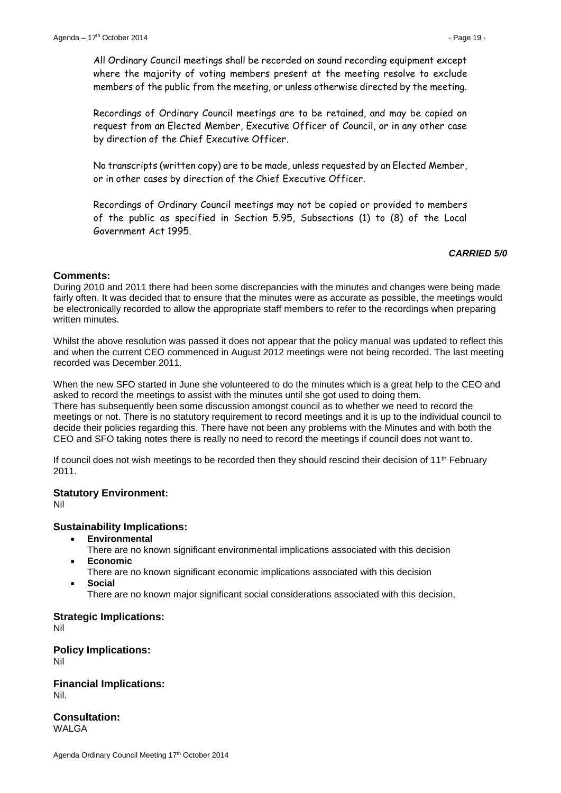All Ordinary Council meetings shall be recorded on sound recording equipment except where the majority of voting members present at the meeting resolve to exclude members of the public from the meeting, or unless otherwise directed by the meeting.

Recordings of Ordinary Council meetings are to be retained, and may be copied on request from an Elected Member, Executive Officer of Council, or in any other case by direction of the Chief Executive Officer.

No transcripts (written copy) are to be made, unless requested by an Elected Member, or in other cases by direction of the Chief Executive Officer.

Recordings of Ordinary Council meetings may not be copied or provided to members of the public as specified in Section 5.95, Subsections (1) to (8) of the Local Government Act 1995.

#### *CARRIED 5/0*

#### **Comments:**

During 2010 and 2011 there had been some discrepancies with the minutes and changes were being made fairly often. It was decided that to ensure that the minutes were as accurate as possible, the meetings would be electronically recorded to allow the appropriate staff members to refer to the recordings when preparing written minutes.

Whilst the above resolution was passed it does not appear that the policy manual was updated to reflect this and when the current CEO commenced in August 2012 meetings were not being recorded. The last meeting recorded was December 2011.

When the new SFO started in June she volunteered to do the minutes which is a great help to the CEO and asked to record the meetings to assist with the minutes until she got used to doing them. There has subsequently been some discussion amongst council as to whether we need to record the meetings or not. There is no statutory requirement to record meetings and it is up to the individual council to decide their policies regarding this. There have not been any problems with the Minutes and with both the CEO and SFO taking notes there is really no need to record the meetings if council does not want to.

If council does not wish meetings to be recorded then they should rescind their decision of 11th February 2011.

#### **Statutory Environment:**

Nil

#### **Sustainability Implications:**

- **Environmental**
- There are no known significant environmental implications associated with this decision **Economic**
- There are no known significant economic implications associated with this decision
- **Social**

There are no known major significant social considerations associated with this decision,

# **Strategic Implications:**

Nil

**Policy Implications:** Nil

**Financial Implications:** Nil.

**Consultation:** WALGA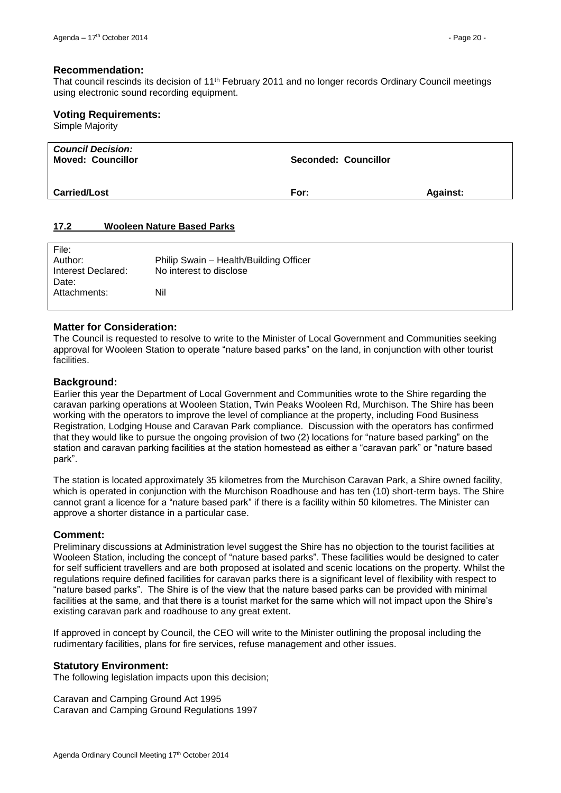#### **Recommendation:**

That council rescinds its decision of 11th February 2011 and no longer records Ordinary Council meetings using electronic sound recording equipment.

#### **Voting Requirements:**

Simple Majority

| <b>Council Decision:</b><br><b>Moved: Councillor</b> | <b>Seconded: Councillor</b> |                 |
|------------------------------------------------------|-----------------------------|-----------------|
| <b>Carried/Lost</b>                                  | For:                        | <b>Against:</b> |

#### <span id="page-19-0"></span>**17.2 Wooleen Nature Based Parks**

| File:              |                                        |
|--------------------|----------------------------------------|
| Author:            | Philip Swain - Health/Building Officer |
| Interest Declared: | No interest to disclose                |
| Date:              |                                        |
| Attachments:       | Nil                                    |
|                    |                                        |

# **Matter for Consideration:**

The Council is requested to resolve to write to the Minister of Local Government and Communities seeking approval for Wooleen Station to operate "nature based parks" on the land, in conjunction with other tourist **facilities** 

#### **Background:**

Earlier this year the Department of Local Government and Communities wrote to the Shire regarding the caravan parking operations at Wooleen Station, Twin Peaks Wooleen Rd, Murchison. The Shire has been working with the operators to improve the level of compliance at the property, including Food Business Registration, Lodging House and Caravan Park compliance. Discussion with the operators has confirmed that they would like to pursue the ongoing provision of two (2) locations for "nature based parking" on the station and caravan parking facilities at the station homestead as either a "caravan park" or "nature based park".

The station is located approximately 35 kilometres from the Murchison Caravan Park, a Shire owned facility, which is operated in conjunction with the Murchison Roadhouse and has ten (10) short-term bays. The Shire cannot grant a licence for a "nature based park" if there is a facility within 50 kilometres. The Minister can approve a shorter distance in a particular case.

#### **Comment:**

Preliminary discussions at Administration level suggest the Shire has no objection to the tourist facilities at Wooleen Station, including the concept of "nature based parks". These facilities would be designed to cater for self sufficient travellers and are both proposed at isolated and scenic locations on the property. Whilst the regulations require defined facilities for caravan parks there is a significant level of flexibility with respect to "nature based parks". The Shire is of the view that the nature based parks can be provided with minimal facilities at the same, and that there is a tourist market for the same which will not impact upon the Shire's existing caravan park and roadhouse to any great extent.

If approved in concept by Council, the CEO will write to the Minister outlining the proposal including the rudimentary facilities, plans for fire services, refuse management and other issues.

#### **Statutory Environment:**

The following legislation impacts upon this decision;

Caravan and Camping Ground Act 1995 Caravan and Camping Ground Regulations 1997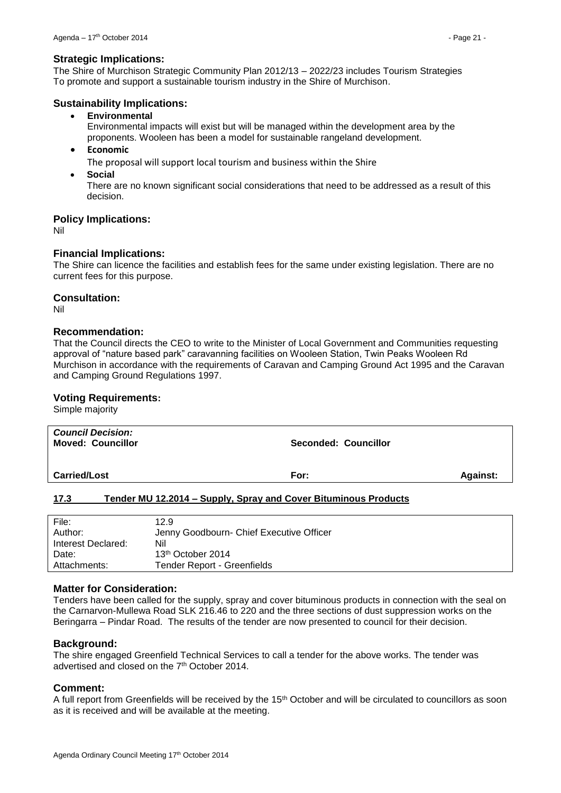#### **Strategic Implications:**

The Shire of Murchison Strategic Community Plan 2012/13 – 2022/23 includes Tourism Strategies To promote and support a sustainable tourism industry in the Shire of Murchison.

#### **Sustainability Implications:**

**Environmental** 

Environmental impacts will exist but will be managed within the development area by the proponents. Wooleen has been a model for sustainable rangeland development.

**Economic**

The proposal will support local tourism and business within the Shire

**Social**

There are no known significant social considerations that need to be addressed as a result of this decision.

# **Policy Implications:**

Nil

# **Financial Implications:**

The Shire can licence the facilities and establish fees for the same under existing legislation. There are no current fees for this purpose.

#### **Consultation:**

Nil

#### **Recommendation:**

That the Council directs the CEO to write to the Minister of Local Government and Communities requesting approval of "nature based park" caravanning facilities on Wooleen Station, Twin Peaks Wooleen Rd Murchison in accordance with the requirements of Caravan and Camping Ground Act 1995 and the Caravan and Camping Ground Regulations 1997.

# **Voting Requirements:**

Simple majority

| <b>Council Decision:</b><br><b>Moved: Councillor</b> | <b>Seconded: Councillor</b> |  |
|------------------------------------------------------|-----------------------------|--|
| <b>Carried/Lost</b>                                  | <b>Against:</b><br>For:     |  |
| $\sim$<br>$\blacksquare$                             | . .<br>___                  |  |

#### <span id="page-20-0"></span>**17.3 Tender MU 12.2014 – Supply, Spray and Cover Bituminous Products**

| File:              | 12.9                                     |
|--------------------|------------------------------------------|
| Author:            | Jenny Goodbourn- Chief Executive Officer |
| Interest Declared: | Nil                                      |
| Date:              | 13 <sup>th</sup> October 2014            |
| Attachments:       | Tender Report - Greenfields              |

#### **Matter for Consideration:**

Tenders have been called for the supply, spray and cover bituminous products in connection with the seal on the Carnarvon-Mullewa Road SLK 216.46 to 220 and the three sections of dust suppression works on the Beringarra – Pindar Road. The results of the tender are now presented to council for their decision.

#### **Background:**

The shire engaged Greenfield Technical Services to call a tender for the above works. The tender was advertised and closed on the 7<sup>th</sup> October 2014.

#### **Comment:**

A full report from Greenfields will be received by the 15<sup>th</sup> October and will be circulated to councillors as soon as it is received and will be available at the meeting.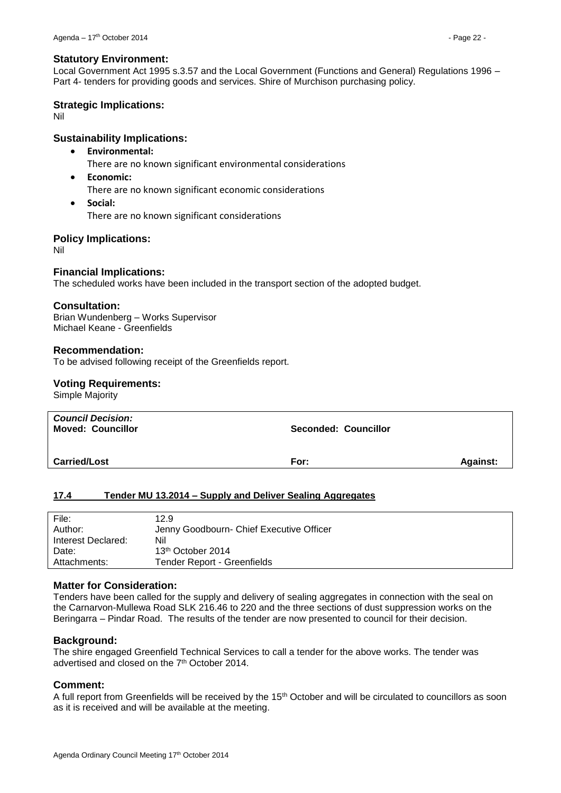#### **Statutory Environment:**

Local Government Act 1995 s.3.57 and the Local Government (Functions and General) Regulations 1996 – Part 4- tenders for providing goods and services. Shire of Murchison purchasing policy.

#### **Strategic Implications:**

Nil

# **Sustainability Implications:**

- **Environmental:**
	- There are no known significant environmental considerations
- **Economic:** There are no known significant economic considerations
- **Social:** There are no known significant considerations

# **Policy Implications:**

Nil

# **Financial Implications:**

The scheduled works have been included in the transport section of the adopted budget.

#### **Consultation:**

Brian Wundenberg – Works Supervisor Michael Keane - Greenfields

#### **Recommendation:**

To be advised following receipt of the Greenfields report.

#### **Voting Requirements:**

Simple Majority

| <b>Council Decision:</b><br><b>Moved: Councillor</b> | <b>Seconded: Councillor</b> |                 |
|------------------------------------------------------|-----------------------------|-----------------|
| <b>Carried/Lost</b>                                  | For:                        | <b>Against:</b> |

# <span id="page-21-0"></span>**17.4 Tender MU 13.2014 – Supply and Deliver Sealing Aggregates**

| File:<br>Author:   | 12.9<br>Jenny Goodbourn- Chief Executive Officer |
|--------------------|--------------------------------------------------|
| Interest Declared: | Nil                                              |
| Date:              | 13 <sup>th</sup> October 2014                    |
| Attachments:       | Tender Report - Greenfields                      |

#### **Matter for Consideration:**

Tenders have been called for the supply and delivery of sealing aggregates in connection with the seal on the Carnarvon-Mullewa Road SLK 216.46 to 220 and the three sections of dust suppression works on the Beringarra – Pindar Road. The results of the tender are now presented to council for their decision.

#### **Background:**

The shire engaged Greenfield Technical Services to call a tender for the above works. The tender was advertised and closed on the 7<sup>th</sup> October 2014.

#### **Comment:**

A full report from Greenfields will be received by the 15<sup>th</sup> October and will be circulated to councillors as soon as it is received and will be available at the meeting.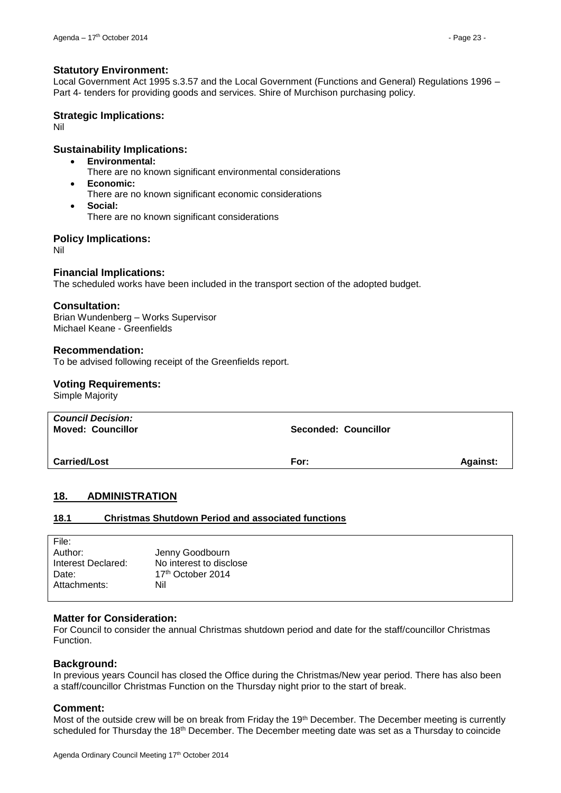#### **Statutory Environment:**

Local Government Act 1995 s.3.57 and the Local Government (Functions and General) Regulations 1996 – Part 4- tenders for providing goods and services. Shire of Murchison purchasing policy.

#### **Strategic Implications:**

Nil

#### **Sustainability Implications:**

- **Environmental:**
	- There are no known significant environmental considerations
- **Economic:**
	- There are no known significant economic considerations
- **Social:** There are no known significant considerations

#### **Policy Implications:**

Nil

#### **Financial Implications:**

The scheduled works have been included in the transport section of the adopted budget.

#### **Consultation:**

Brian Wundenberg – Works Supervisor Michael Keane - Greenfields

#### **Recommendation:**

To be advised following receipt of the Greenfields report.

#### **Voting Requirements:**

Simple Majority

| <b>Council Decision:</b><br><b>Moved: Councillor</b> | <b>Seconded: Councillor</b> |                 |
|------------------------------------------------------|-----------------------------|-----------------|
| <b>Carried/Lost</b>                                  | For:                        | <b>Against:</b> |

#### <span id="page-22-0"></span>**18. ADMINISTRATION**

#### <span id="page-22-1"></span>**18.1 Christmas Shutdown Period and associated functions**

| File:              |                         |
|--------------------|-------------------------|
| Author:            | Jenny Goodbourn         |
| Interest Declared: | No interest to disclose |
| Date:              | 17th October 2014       |
| Attachments:       | Nil                     |
|                    |                         |

#### **Matter for Consideration:**

For Council to consider the annual Christmas shutdown period and date for the staff/councillor Christmas Function.

#### **Background:**

In previous years Council has closed the Office during the Christmas/New year period. There has also been a staff/councillor Christmas Function on the Thursday night prior to the start of break.

#### **Comment:**

Most of the outside crew will be on break from Friday the 19th December. The December meeting is currently scheduled for Thursday the 18<sup>th</sup> December. The December meeting date was set as a Thursday to coincide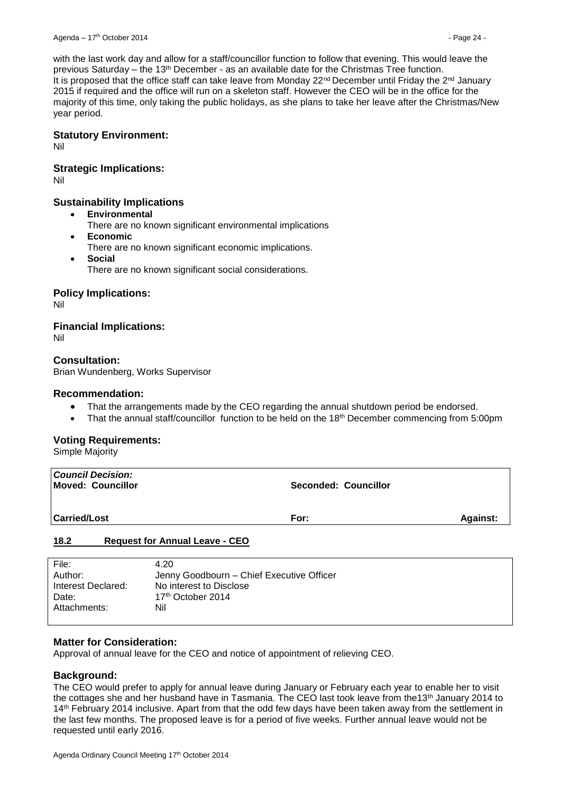with the last work day and allow for a staff/councillor function to follow that evening. This would leave the previous Saturday – the 13th December - as an available date for the Christmas Tree function. It is proposed that the office staff can take leave from Monday  $22^{nd}$  December until Friday the  $2^{nd}$  January 2015 if required and the office will run on a skeleton staff. However the CEO will be in the office for the majority of this time, only taking the public holidays, as she plans to take her leave after the Christmas/New year period.

#### **Statutory Environment:**

Nil

#### **Strategic Implications:**

Nil

# **Sustainability Implications**

- **Environmental**
	- There are no known significant environmental implications
- **Economic**
	- There are no known significant economic implications.
- **Social**
	- There are no known significant social considerations.

#### **Policy Implications:**

Nil

# **Financial Implications:**

Nil

# **Consultation:**

Brian Wundenberg, Works Supervisor

#### **Recommendation:**

- That the arrangements made by the CEO regarding the annual shutdown period be endorsed.
- That the annual staff/councillor function to be held on the 18<sup>th</sup> December commencing from 5:00pm

#### **Voting Requirements:**

Simple Majority

| <b>Council Decision:</b><br>Moved: Councillor | <b>Seconded: Councillor</b> |                 |
|-----------------------------------------------|-----------------------------|-----------------|
| <b>Carried/Lost</b>                           | For:                        | <b>Against:</b> |
| .                                             |                             |                 |

#### <span id="page-23-0"></span>**18.2 Request for Annual Leave - CEO**

| File:              | 4.20                                      |
|--------------------|-------------------------------------------|
| Author:            | Jenny Goodbourn - Chief Executive Officer |
| Interest Declared: | No interest to Disclose                   |
| Date:              | 17 <sup>th</sup> October 2014             |
| Attachments:       | Nil                                       |
|                    |                                           |

#### **Matter for Consideration:**

Approval of annual leave for the CEO and notice of appointment of relieving CEO.

#### **Background:**

The CEO would prefer to apply for annual leave during January or February each year to enable her to visit the cottages she and her husband have in Tasmania. The CEO last took leave from the13th January 2014 to 14<sup>th</sup> February 2014 inclusive. Apart from that the odd few days have been taken away from the settlement in the last few months. The proposed leave is for a period of five weeks. Further annual leave would not be requested until early 2016.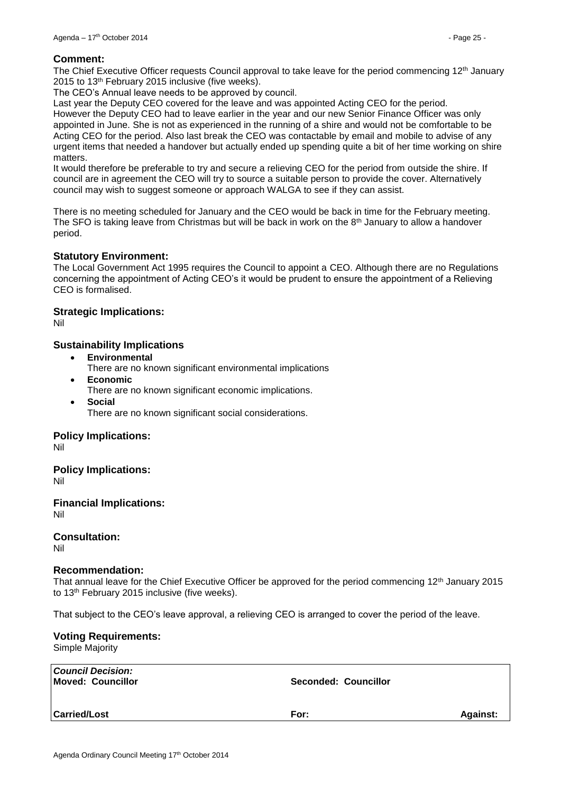#### **Comment:**

The Chief Executive Officer requests Council approval to take leave for the period commencing  $12<sup>th</sup>$  January 2015 to 13th February 2015 inclusive (five weeks).

The CEO's Annual leave needs to be approved by council.

Last year the Deputy CEO covered for the leave and was appointed Acting CEO for the period. However the Deputy CEO had to leave earlier in the year and our new Senior Finance Officer was only appointed in June. She is not as experienced in the running of a shire and would not be comfortable to be Acting CEO for the period. Also last break the CEO was contactable by email and mobile to advise of any urgent items that needed a handover but actually ended up spending quite a bit of her time working on shire

matters.

It would therefore be preferable to try and secure a relieving CEO for the period from outside the shire. If council are in agreement the CEO will try to source a suitable person to provide the cover. Alternatively council may wish to suggest someone or approach WALGA to see if they can assist.

There is no meeting scheduled for January and the CEO would be back in time for the February meeting. The SFO is taking leave from Christmas but will be back in work on the 8<sup>th</sup> January to allow a handover period.

# **Statutory Environment:**

The Local Government Act 1995 requires the Council to appoint a CEO. Although there are no Regulations concerning the appointment of Acting CEO's it would be prudent to ensure the appointment of a Relieving CEO is formalised.

#### **Strategic Implications:**

Nil

# **Sustainability Implications**

- **Environmental**
	- There are no known significant environmental implications
- **Economic** There are no known significant economic implications.
- **Social** There are no known significant social considerations.

#### **Policy Implications:**

Nil

**Policy Implications:**

Nil

**Financial Implications:** Nil

**Consultation:**

Nil

#### **Recommendation:**

That annual leave for the Chief Executive Officer be approved for the period commencing 12<sup>th</sup> January 2015 to 13th February 2015 inclusive (five weeks).

That subject to the CEO's leave approval, a relieving CEO is arranged to cover the period of the leave.

# **Voting Requirements:**

Simple Majority

| <b>Council Decision:</b><br>Moved: Councillor | Seconded: Councillor |                 |
|-----------------------------------------------|----------------------|-----------------|
| <b>Carried/Lost</b>                           | For:                 | <b>Against:</b> |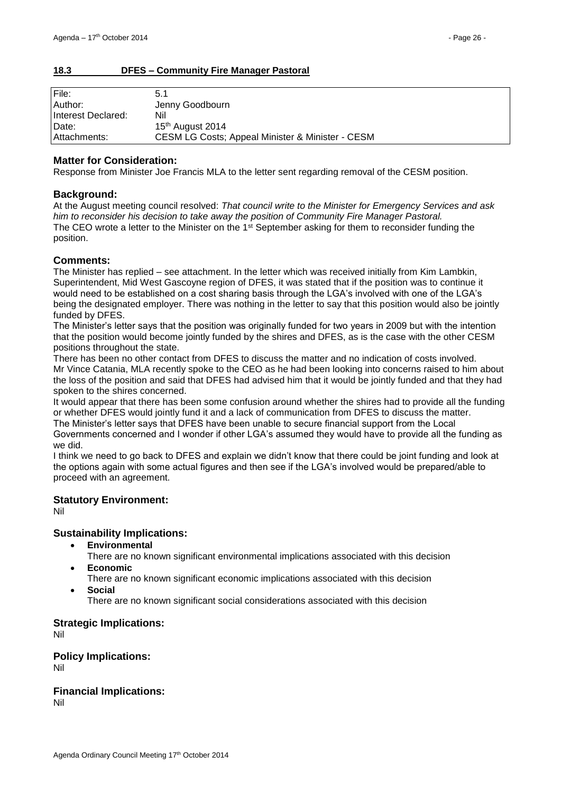#### <span id="page-25-0"></span>**18.3 DFES – Community Fire Manager Pastoral**

| File:              | 5.1                                                         |
|--------------------|-------------------------------------------------------------|
| Author:            | Jenny Goodbourn                                             |
| Interest Declared: | Nil                                                         |
| Date:              | 15th August 2014                                            |
| Attachments:       | <b>CESM LG Costs; Appeal Minister &amp; Minister - CESM</b> |

#### **Matter for Consideration:**

Response from Minister Joe Francis MLA to the letter sent regarding removal of the CESM position.

#### **Background:**

At the August meeting council resolved: *That council write to the Minister for Emergency Services and ask him to reconsider his decision to take away the position of Community Fire Manager Pastoral.* The CEO wrote a letter to the Minister on the 1<sup>st</sup> September asking for them to reconsider funding the position.

#### **Comments:**

The Minister has replied – see attachment. In the letter which was received initially from Kim Lambkin, Superintendent, Mid West Gascoyne region of DFES, it was stated that if the position was to continue it would need to be established on a cost sharing basis through the LGA's involved with one of the LGA's being the designated employer. There was nothing in the letter to say that this position would also be jointly funded by DFES.

The Minister's letter says that the position was originally funded for two years in 2009 but with the intention that the position would become jointly funded by the shires and DFES, as is the case with the other CESM positions throughout the state.

There has been no other contact from DFES to discuss the matter and no indication of costs involved. Mr Vince Catania, MLA recently spoke to the CEO as he had been looking into concerns raised to him about the loss of the position and said that DFES had advised him that it would be jointly funded and that they had spoken to the shires concerned.

It would appear that there has been some confusion around whether the shires had to provide all the funding or whether DFES would jointly fund it and a lack of communication from DFES to discuss the matter. The Minister's letter says that DFES have been unable to secure financial support from the Local

Governments concerned and I wonder if other LGA's assumed they would have to provide all the funding as we did.

I think we need to go back to DFES and explain we didn't know that there could be joint funding and look at the options again with some actual figures and then see if the LGA's involved would be prepared/able to proceed with an agreement.

#### **Statutory Environment:**

Nil

#### **Sustainability Implications:**

**Environmental**

There are no known significant environmental implications associated with this decision

- **Economic**
	- There are no known significant economic implications associated with this decision
- **Social**

There are no known significant social considerations associated with this decision

#### **Strategic Implications:**

Nil

# **Policy Implications:**

Nil

# **Financial Implications:**

Nil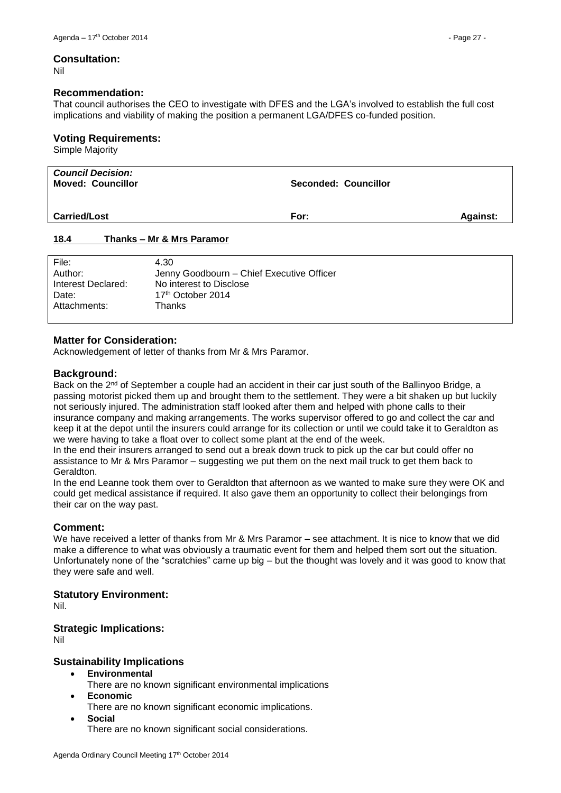#### **Consultation:**

Nil

#### **Recommendation:**

That council authorises the CEO to investigate with DFES and the LGA's involved to establish the full cost implications and viability of making the position a permanent LGA/DFES co-funded position.

#### **Voting Requirements:**

Simple Majority

| <b>Council Decision:</b><br><b>Moved: Councillor</b> | Seconded: Councillor |                 |
|------------------------------------------------------|----------------------|-----------------|
| <b>Carried/Lost</b>                                  | For:                 | <b>Against:</b> |
| 18.4<br>Thanks - Mr & Mrs Paramor                    |                      |                 |

# <span id="page-26-0"></span>File: 4.30 Author: Jenny Goodbourn – Chief Executive Officer<br>
Interest Declared: No interest to Disclose No interest to Disclose Date: 17<sup>th</sup> October 2014 Attachments: Thanks

#### **Matter for Consideration:**

Acknowledgement of letter of thanks from Mr & Mrs Paramor.

#### **Background:**

Back on the 2<sup>nd</sup> of September a couple had an accident in their car just south of the Ballinyoo Bridge, a passing motorist picked them up and brought them to the settlement. They were a bit shaken up but luckily not seriously injured. The administration staff looked after them and helped with phone calls to their insurance company and making arrangements. The works supervisor offered to go and collect the car and keep it at the depot until the insurers could arrange for its collection or until we could take it to Geraldton as we were having to take a float over to collect some plant at the end of the week.

In the end their insurers arranged to send out a break down truck to pick up the car but could offer no assistance to Mr & Mrs Paramor – suggesting we put them on the next mail truck to get them back to Geraldton.

In the end Leanne took them over to Geraldton that afternoon as we wanted to make sure they were OK and could get medical assistance if required. It also gave them an opportunity to collect their belongings from their car on the way past.

#### **Comment:**

We have received a letter of thanks from Mr & Mrs Paramor – see attachment. It is nice to know that we did make a difference to what was obviously a traumatic event for them and helped them sort out the situation. Unfortunately none of the "scratchies" came up big – but the thought was lovely and it was good to know that they were safe and well.

#### **Statutory Environment:**

Nil.

#### **Strategic Implications:**

Nil

#### **Sustainability Implications**

- **Environmental**
	- There are no known significant environmental implications
- **Economic**
- There are no known significant economic implications.
- **Social**

There are no known significant social considerations.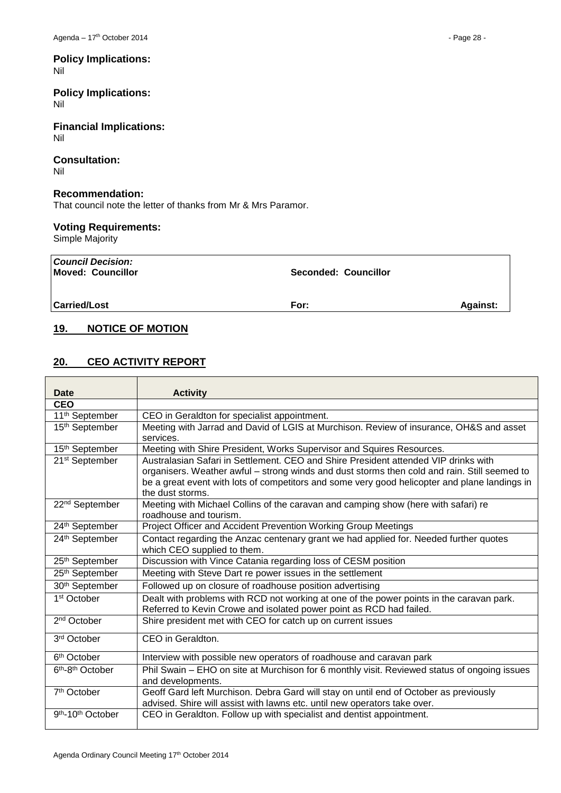#### **Policy Implications:** Nil

**Policy Implications:** Nil

**Financial Implications:** Nil

#### **Consultation:** Nil

# **Recommendation:**

That council note the letter of thanks from Mr & Mrs Paramor.

# **Voting Requirements:**

Simple Majority

| Council Decision:<br>Moved: Councillor | <b>Seconded: Councillor</b> |                 |
|----------------------------------------|-----------------------------|-----------------|
| <b>Carried/Lost</b>                    | For:                        | <b>Against:</b> |

# <span id="page-27-0"></span>**19. NOTICE OF MOTION**

# <span id="page-27-1"></span>**20. CEO ACTIVITY REPORT**

| Date                                      | <b>Activity</b>                                                                                                                                                                                                                                                                                          |
|-------------------------------------------|----------------------------------------------------------------------------------------------------------------------------------------------------------------------------------------------------------------------------------------------------------------------------------------------------------|
| <b>CEO</b>                                |                                                                                                                                                                                                                                                                                                          |
| 11 <sup>th</sup> September                | CEO in Geraldton for specialist appointment.                                                                                                                                                                                                                                                             |
| 15 <sup>th</sup> September                | Meeting with Jarrad and David of LGIS at Murchison. Review of insurance, OH&S and asset<br>services.                                                                                                                                                                                                     |
| 15 <sup>th</sup> September                | Meeting with Shire President, Works Supervisor and Squires Resources.                                                                                                                                                                                                                                    |
| 21 <sup>st</sup> September                | Australasian Safari in Settlement, CEO and Shire President attended VIP drinks with<br>organisers. Weather awful - strong winds and dust storms then cold and rain. Still seemed to<br>be a great event with lots of competitors and some very good helicopter and plane landings in<br>the dust storms. |
| 22 <sup>nd</sup> September                | Meeting with Michael Collins of the caravan and camping show (here with safari) re<br>roadhouse and tourism.                                                                                                                                                                                             |
| 24th September                            | Project Officer and Accident Prevention Working Group Meetings                                                                                                                                                                                                                                           |
| 24th September                            | Contact regarding the Anzac centenary grant we had applied for. Needed further quotes<br>which CEO supplied to them.                                                                                                                                                                                     |
| 25th September                            | Discussion with Vince Catania regarding loss of CESM position                                                                                                                                                                                                                                            |
| 25 <sup>th</sup> September                | Meeting with Steve Dart re power issues in the settlement                                                                                                                                                                                                                                                |
| 30 <sup>th</sup> September                | Followed up on closure of roadhouse position advertising                                                                                                                                                                                                                                                 |
| 1 <sup>st</sup> October                   | Dealt with problems with RCD not working at one of the power points in the caravan park.<br>Referred to Kevin Crowe and isolated power point as RCD had failed.                                                                                                                                          |
| 2 <sup>nd</sup> October                   | Shire president met with CEO for catch up on current issues                                                                                                                                                                                                                                              |
| 3 <sup>rd</sup> October                   | CEO in Geraldton.                                                                                                                                                                                                                                                                                        |
| 6 <sup>th</sup> October                   | Interview with possible new operators of roadhouse and caravan park                                                                                                                                                                                                                                      |
| 6 <sup>th</sup> -8 <sup>th</sup> October  | Phil Swain - EHO on site at Murchison for 6 monthly visit. Reviewed status of ongoing issues<br>and developments.                                                                                                                                                                                        |
| 7 <sup>th</sup> October                   | Geoff Gard left Murchison. Debra Gard will stay on until end of October as previously<br>advised. Shire will assist with lawns etc. until new operators take over.                                                                                                                                       |
| 9 <sup>th</sup> -10 <sup>th</sup> October | CEO in Geraldton. Follow up with specialist and dentist appointment.                                                                                                                                                                                                                                     |